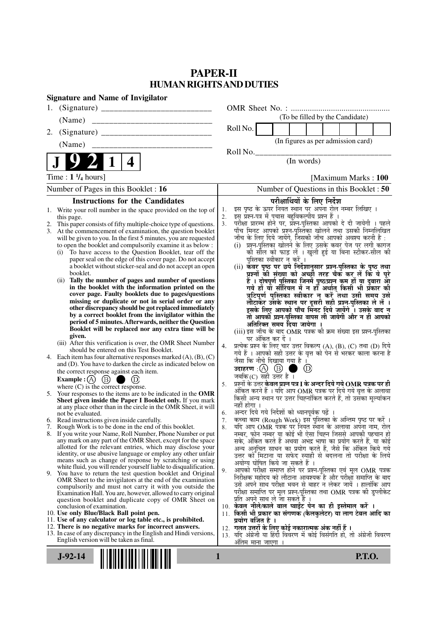# **PAPER-II HUMAN RIGHTS AND DUTIES**

| <b>Signature and Name of Invigilator</b>                                                                                                                                                                                                                                                                                                                                                                                                                                                                                                                                                                                                                                                                                                                                                                                                                                                                                                                                                                                                                                                                                                                                                                                                                                                                                                                                                                                                                                                                                                                                                                                                                                                                                                                                                                                                                                                                                                                                                                                                                                                                                                                                                                                                                                                                                                                                                                                                                                                                                                                                                                           |                                                                                                                                                                                                                                                                                                                                                                                                                                                                                                                                                                                                                                                                                                                                                                                                                                                                                                                                                                                                                                                                                                                                                                                                                                                                                                                                                                                                                                                                                                                                                                                                                                                                                                                                                                                                                                                                                                                                                                                                                                                                                                                                                                                                                                                                                                                                                                                                                                                                                                                                                                             |
|--------------------------------------------------------------------------------------------------------------------------------------------------------------------------------------------------------------------------------------------------------------------------------------------------------------------------------------------------------------------------------------------------------------------------------------------------------------------------------------------------------------------------------------------------------------------------------------------------------------------------------------------------------------------------------------------------------------------------------------------------------------------------------------------------------------------------------------------------------------------------------------------------------------------------------------------------------------------------------------------------------------------------------------------------------------------------------------------------------------------------------------------------------------------------------------------------------------------------------------------------------------------------------------------------------------------------------------------------------------------------------------------------------------------------------------------------------------------------------------------------------------------------------------------------------------------------------------------------------------------------------------------------------------------------------------------------------------------------------------------------------------------------------------------------------------------------------------------------------------------------------------------------------------------------------------------------------------------------------------------------------------------------------------------------------------------------------------------------------------------------------------------------------------------------------------------------------------------------------------------------------------------------------------------------------------------------------------------------------------------------------------------------------------------------------------------------------------------------------------------------------------------------------------------------------------------------------------------------------------------|-----------------------------------------------------------------------------------------------------------------------------------------------------------------------------------------------------------------------------------------------------------------------------------------------------------------------------------------------------------------------------------------------------------------------------------------------------------------------------------------------------------------------------------------------------------------------------------------------------------------------------------------------------------------------------------------------------------------------------------------------------------------------------------------------------------------------------------------------------------------------------------------------------------------------------------------------------------------------------------------------------------------------------------------------------------------------------------------------------------------------------------------------------------------------------------------------------------------------------------------------------------------------------------------------------------------------------------------------------------------------------------------------------------------------------------------------------------------------------------------------------------------------------------------------------------------------------------------------------------------------------------------------------------------------------------------------------------------------------------------------------------------------------------------------------------------------------------------------------------------------------------------------------------------------------------------------------------------------------------------------------------------------------------------------------------------------------------------------------------------------------------------------------------------------------------------------------------------------------------------------------------------------------------------------------------------------------------------------------------------------------------------------------------------------------------------------------------------------------------------------------------------------------------------------------------------------------|
| 1.                                                                                                                                                                                                                                                                                                                                                                                                                                                                                                                                                                                                                                                                                                                                                                                                                                                                                                                                                                                                                                                                                                                                                                                                                                                                                                                                                                                                                                                                                                                                                                                                                                                                                                                                                                                                                                                                                                                                                                                                                                                                                                                                                                                                                                                                                                                                                                                                                                                                                                                                                                                                                 |                                                                                                                                                                                                                                                                                                                                                                                                                                                                                                                                                                                                                                                                                                                                                                                                                                                                                                                                                                                                                                                                                                                                                                                                                                                                                                                                                                                                                                                                                                                                                                                                                                                                                                                                                                                                                                                                                                                                                                                                                                                                                                                                                                                                                                                                                                                                                                                                                                                                                                                                                                             |
| (Name)<br>___________________________________                                                                                                                                                                                                                                                                                                                                                                                                                                                                                                                                                                                                                                                                                                                                                                                                                                                                                                                                                                                                                                                                                                                                                                                                                                                                                                                                                                                                                                                                                                                                                                                                                                                                                                                                                                                                                                                                                                                                                                                                                                                                                                                                                                                                                                                                                                                                                                                                                                                                                                                                                                      | (To be filled by the Candidate)                                                                                                                                                                                                                                                                                                                                                                                                                                                                                                                                                                                                                                                                                                                                                                                                                                                                                                                                                                                                                                                                                                                                                                                                                                                                                                                                                                                                                                                                                                                                                                                                                                                                                                                                                                                                                                                                                                                                                                                                                                                                                                                                                                                                                                                                                                                                                                                                                                                                                                                                             |
| 2.                                                                                                                                                                                                                                                                                                                                                                                                                                                                                                                                                                                                                                                                                                                                                                                                                                                                                                                                                                                                                                                                                                                                                                                                                                                                                                                                                                                                                                                                                                                                                                                                                                                                                                                                                                                                                                                                                                                                                                                                                                                                                                                                                                                                                                                                                                                                                                                                                                                                                                                                                                                                                 | Roll No.                                                                                                                                                                                                                                                                                                                                                                                                                                                                                                                                                                                                                                                                                                                                                                                                                                                                                                                                                                                                                                                                                                                                                                                                                                                                                                                                                                                                                                                                                                                                                                                                                                                                                                                                                                                                                                                                                                                                                                                                                                                                                                                                                                                                                                                                                                                                                                                                                                                                                                                                                                    |
| (Name)<br>____________________________                                                                                                                                                                                                                                                                                                                                                                                                                                                                                                                                                                                                                                                                                                                                                                                                                                                                                                                                                                                                                                                                                                                                                                                                                                                                                                                                                                                                                                                                                                                                                                                                                                                                                                                                                                                                                                                                                                                                                                                                                                                                                                                                                                                                                                                                                                                                                                                                                                                                                                                                                                             | (In figures as per admission card)                                                                                                                                                                                                                                                                                                                                                                                                                                                                                                                                                                                                                                                                                                                                                                                                                                                                                                                                                                                                                                                                                                                                                                                                                                                                                                                                                                                                                                                                                                                                                                                                                                                                                                                                                                                                                                                                                                                                                                                                                                                                                                                                                                                                                                                                                                                                                                                                                                                                                                                                          |
| 4                                                                                                                                                                                                                                                                                                                                                                                                                                                                                                                                                                                                                                                                                                                                                                                                                                                                                                                                                                                                                                                                                                                                                                                                                                                                                                                                                                                                                                                                                                                                                                                                                                                                                                                                                                                                                                                                                                                                                                                                                                                                                                                                                                                                                                                                                                                                                                                                                                                                                                                                                                                                                  | Roll No.<br>(In words)                                                                                                                                                                                                                                                                                                                                                                                                                                                                                                                                                                                                                                                                                                                                                                                                                                                                                                                                                                                                                                                                                                                                                                                                                                                                                                                                                                                                                                                                                                                                                                                                                                                                                                                                                                                                                                                                                                                                                                                                                                                                                                                                                                                                                                                                                                                                                                                                                                                                                                                                                      |
| Time : $1\frac{1}{4}$ hours]                                                                                                                                                                                                                                                                                                                                                                                                                                                                                                                                                                                                                                                                                                                                                                                                                                                                                                                                                                                                                                                                                                                                                                                                                                                                                                                                                                                                                                                                                                                                                                                                                                                                                                                                                                                                                                                                                                                                                                                                                                                                                                                                                                                                                                                                                                                                                                                                                                                                                                                                                                                       | [Maximum Marks: 100]                                                                                                                                                                                                                                                                                                                                                                                                                                                                                                                                                                                                                                                                                                                                                                                                                                                                                                                                                                                                                                                                                                                                                                                                                                                                                                                                                                                                                                                                                                                                                                                                                                                                                                                                                                                                                                                                                                                                                                                                                                                                                                                                                                                                                                                                                                                                                                                                                                                                                                                                                        |
| Number of Pages in this Booklet : 16                                                                                                                                                                                                                                                                                                                                                                                                                                                                                                                                                                                                                                                                                                                                                                                                                                                                                                                                                                                                                                                                                                                                                                                                                                                                                                                                                                                                                                                                                                                                                                                                                                                                                                                                                                                                                                                                                                                                                                                                                                                                                                                                                                                                                                                                                                                                                                                                                                                                                                                                                                               | Number of Questions in this Booklet : 50                                                                                                                                                                                                                                                                                                                                                                                                                                                                                                                                                                                                                                                                                                                                                                                                                                                                                                                                                                                                                                                                                                                                                                                                                                                                                                                                                                                                                                                                                                                                                                                                                                                                                                                                                                                                                                                                                                                                                                                                                                                                                                                                                                                                                                                                                                                                                                                                                                                                                                                                    |
| <b>Instructions for the Candidates</b>                                                                                                                                                                                                                                                                                                                                                                                                                                                                                                                                                                                                                                                                                                                                                                                                                                                                                                                                                                                                                                                                                                                                                                                                                                                                                                                                                                                                                                                                                                                                                                                                                                                                                                                                                                                                                                                                                                                                                                                                                                                                                                                                                                                                                                                                                                                                                                                                                                                                                                                                                                             | परीक्षार्थियों के लिए निर्देश                                                                                                                                                                                                                                                                                                                                                                                                                                                                                                                                                                                                                                                                                                                                                                                                                                                                                                                                                                                                                                                                                                                                                                                                                                                                                                                                                                                                                                                                                                                                                                                                                                                                                                                                                                                                                                                                                                                                                                                                                                                                                                                                                                                                                                                                                                                                                                                                                                                                                                                                               |
| Write your roll number in the space provided on the top of<br>1.<br>this page.<br>This paper consists of fifty multiple-choice type of questions.<br>2.<br>3.<br>At the commencement of examination, the question booklet<br>will be given to you. In the first 5 minutes, you are requested<br>to open the booklet and compulsorily examine it as below :<br>To have access to the Question Booklet, tear off the<br>(i)<br>paper seal on the edge of this cover page. Do not accept<br>a booklet without sticker-seal and do not accept an open<br>booklet.<br>(ii) Tally the number of pages and number of questions<br>in the booklet with the information printed on the<br>cover page. Faulty booklets due to pages/questions<br>missing or duplicate or not in serial order or any<br>other discrepancy should be got replaced immediately<br>by a correct booklet from the invigilator within the<br>period of 5 minutes. Afterwards, neither the Question<br>Booklet will be replaced nor any extra time will be<br>given.<br>(iii) After this verification is over, the OMR Sheet Number<br>should be entered on this Test Booklet.<br>Each item has four alternative responses marked $(A)$ , $(B)$ , $(C)$<br>4.<br>and (D). You have to darken the circle as indicated below on<br>the correct response against each item.<br>Example : $(A)$ $(B)$ (<br>$\bigcirc$ (D)<br>where $(C)$ is the correct response.<br>5. Your responses to the items are to be indicated in the OMR<br>Sheet given inside the Paper I Booklet only. If you mark<br>at any place other than in the circle in the OMR Sheet, it will<br>not be evaluated.<br>6. Read instructions given inside carefully.<br>7. Rough Work is to be done in the end of this booklet.<br>8. If you write your Name, Roll Number, Phone Number or put<br>any mark on any part of the OMR Sheet, except for the space<br>allotted for the relevant entries, which may disclose your<br>identity, or use abusive language or employ any other unfair<br>means such as change of response by scratching or using<br>white fluid, you will render yourself liable to disqualification.<br>9. You have to return the test question booklet and Original<br>OMR Sheet to the invigilators at the end of the examination<br>compulsorily and must not carry it with you outside the<br>Examination Hall. You are, however, allowed to carry original<br>question booklet and duplicate copy of OMR Sheet on<br>conclusion of examination.<br>10. Use only Blue/Black Ball point pen.<br>11. Use of any calculator or log table etc., is prohibited. | इस पृष्ठ के ऊपर नियत स्थान पर अपना रोल नम्बर लिखिए ।<br>इस प्रश्न-पत्र में पुचास बहुविकल्पीय प्रश्न हैं ।<br>1.<br>2.<br>परीक्षा प्रारम्भ होने पर, प्रश्न-पुस्तिका आपको दे दी जायेगी । पहले<br>पाँच मिनट आपको प्रश्न-पुस्तिका खोलने तथा उसकी निम्नलिखित<br>3.<br>जाँच के लिए दिये जायेंगे, जिसकी जाँच आपको अवश्य करनी है :<br>(i) प्रश्न-पुस्तिका खोलने के लिए उसके कवर पेज पर लगी कागज<br>की सील को फाड़ लें । खुली हुई या बिना स्टीकर-सील की<br>पुस्तिका स्वीकार न करें ।<br>(ii) कवर पृष्ठ पर छपे निर्देशानुसार प्रश्न-पुस्तिका के पृष्ठ तथा<br>प्रश्नों की संख्या को अच्छी तरह चैक कर लें कि ये पूरे<br>हैं । दोषपूर्ण पुस्तिका जिनमें पृष्ठ/प्रश्न कम हों या दुबारा आ<br>गये हो या सीरियल में न हो अर्थात् किसी भी प्रकार की<br>त्रुटिपूर्ण पुस्तिका स्वीकार न करें तथा उसी समय उसे<br>लौटाकर उसके स्थान पर दूसरी सही प्रश्न-पुस्तिका ले लें ।<br>इसके लिए आपको पाँच मिनट दिये जायेंगे । उसके बाद न<br>तो आपकी प्रश्न-पुस्तिका वापस ली जायेगी और न ही आपको<br>अतिरिक्त समय दिया जायेगा ।<br>(iii) इस जाँच के बाद OMR पत्रक की क्रम संख्या इस प्रश्न-पुस्तिका<br>पर अंकित कर दें ।<br>प्रत्येक प्रश्न के लिए चार उत्तर विकल्प (A), (B), (C) तथा (D) दिये<br>4.<br>गये हैं । आपको सही उत्तर के वृत्त को पेन से भरकर काला करना है<br>जैसा कि नीचे दिखाया गया है ।<br>उदाहरण $\,$ :( $\!\mathrm{A}\!$ ) $\,$ $\mathrm{(B)}\,$<br>$\circled{D}$<br>जबकि(C) सही उत्तर है ।<br>प्रश्नों के उत्तर <b>केवल प्रश्न पत्र I के अन्दर दिये गये OMR पत्रक पर ही</b><br>5.<br>अंकित करने हैं । यदि आप OMR पत्रक पर दिये गये वृत्त के अलावा<br>किसी अन्य स्थान पर उत्तर चिह्नांकित करते हैं, तो उसका मूल्यांकन<br>नहीं होगा ।<br>अन्दर दिये गये निर्देशों को ध्यानपूर्वक पढ़ें ।<br>6.<br>कच्चा काम (Rough Work) इस पुस्तिका के अन्तिम पृष्ठ पर करें ।<br>7.<br>यदि आप OMR पत्रक पर नियत स्थान के अलावा अपना नाम, रोल<br>8.<br>नम्बर, फोन नम्बर या कोई भी ऐसा चिह्न जिससे आपकी पहचान हो<br>सके, अंकित करते हैं अथवा अभद्र भाषा का प्रयोग करते हैं, या कोई<br>अन्य अनुचित साधन का प्रयोग करते हैं, जैसे कि अंकित किये गये<br>उत्तर को मिटाना या सफेद स्याही से बदलना तो परीक्षा के लिये<br>अयोग्य घोषित किये जा सकते हैं ।<br>आपको परीक्षा समाप्त होने पर प्रश्न-पुस्तिका एवं मूल OMR पत्रक<br>9.<br>निरीक्षक महोदय को लौटाना आवश्यक है और परीक्षा समाप्ति के बाद<br>उसे अपने साथ परीक्षा भवन से बाहर न लेकर जायें । हालांकि आप<br>परीक्षा समाप्ति पर मूल प्रश्न-पुस्तिका तथा OMR पत्रक की डुप्लीकेट<br>प्रति अपने साथ ले जा सकते हैं ।<br>10. केवल नीले/काले बाल प्वाईंट पेन का ही इस्तेमाल करें ।<br>11. किसी भी प्रकार का संगणक (कैलकुलेटर) या लाग टेबल आदि का<br>प्रयोग वर्जित है । |
| 12. There is no negative marks for incorrect answers.<br>13. In case of any discrepancy in the English and Hindi versions,<br>English version will be taken as final.                                                                                                                                                                                                                                                                                                                                                                                                                                                                                                                                                                                                                                                                                                                                                                                                                                                                                                                                                                                                                                                                                                                                                                                                                                                                                                                                                                                                                                                                                                                                                                                                                                                                                                                                                                                                                                                                                                                                                                                                                                                                                                                                                                                                                                                                                                                                                                                                                                              | 12.  गलत उत्तरों के लिए कोई नकारात्मक अंक नहीं हैं ।<br>13. यदि अंग्रेजी या हिंदी विवरण में कोई विसंगति हो, तो अंग्रेजी विवरण<br>अतिम माना जाएगा                                                                                                                                                                                                                                                                                                                                                                                                                                                                                                                                                                                                                                                                                                                                                                                                                                                                                                                                                                                                                                                                                                                                                                                                                                                                                                                                                                                                                                                                                                                                                                                                                                                                                                                                                                                                                                                                                                                                                                                                                                                                                                                                                                                                                                                                                                                                                                                                                            |
| $J-92-14$                                                                                                                                                                                                                                                                                                                                                                                                                                                                                                                                                                                                                                                                                                                                                                                                                                                                                                                                                                                                                                                                                                                                                                                                                                                                                                                                                                                                                                                                                                                                                                                                                                                                                                                                                                                                                                                                                                                                                                                                                                                                                                                                                                                                                                                                                                                                                                                                                                                                                                                                                                                                          | 1<br><b>P.T.O.</b>                                                                                                                                                                                                                                                                                                                                                                                                                                                                                                                                                                                                                                                                                                                                                                                                                                                                                                                                                                                                                                                                                                                                                                                                                                                                                                                                                                                                                                                                                                                                                                                                                                                                                                                                                                                                                                                                                                                                                                                                                                                                                                                                                                                                                                                                                                                                                                                                                                                                                                                                                          |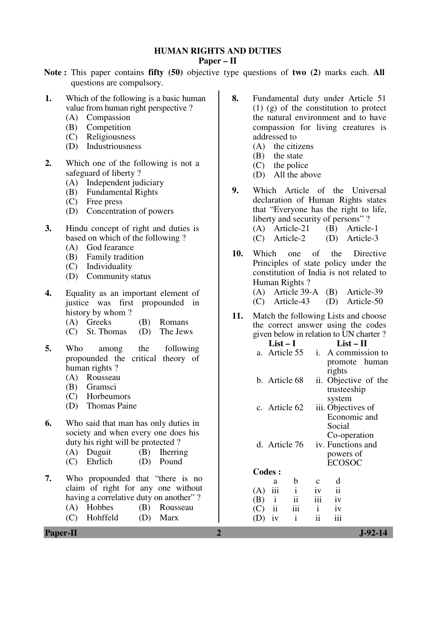#### **HUMAN RIGHTS AND DUTIES**

#### **Paper – II**

- **Note :** This paper contains **fifty (50)** objective type questions of **two (2)** marks each. **All** questions are compulsory.
- **1.** Which of the following is a basic human value from human right perspective ?
	- (A) Compassion
	- (B) Competition
	- (C) Religiousness
	- (D) Industriousness
- **2.** Which one of the following is not a safeguard of liberty ?
	- (A) Independent judiciary
	- (B) Fundamental Rights
	- (C) Free press
	- (D) Concentration of powers
- **3.** Hindu concept of right and duties is based on which of the following ?
	- (A) God fearance
	- (B) Family tradition
	- (C) Individuality
	- (D) Community status
- **4.** Equality as an important element of justice was first propounded in history by whom ?
	- (A) Greeks (B) Romans
	- (C) St. Thomas (D) The Jews
- **5.** Who among the following propounded the critical theory of human rights ?
	- (A) Rousseau
	- (B) Gramsci
	- (C) Horbeumors
	- (D) Thomas Paine
- **6.** Who said that man has only duties in society and when every one does his duty his right will be protected ?
	- (A) Duguit (B) Iherring
	- (C) Ehrlich (D) Pound
- **7.** Who propounded that "there is no claim of right for any one without having a correlative duty on another"?
	- (A) Hobbes (B) Rousseau
	- (C) Hohffeld (D) Marx
- **8.** Fundamental duty under Article 51 (1) (g) of the constitution to protect the natural environment and to have compassion for living creatures is addressed to
	- (A) the citizens
	- (B) the state
	- (C) the police
	- (D) All the above
- **9.** Which Article of the Universal declaration of Human Rights states that "Everyone has the right to life, liberty and security of persons" ? (A) Article-21 (B) Article-1 (C) Article-2 (D) Article-3
- **10.** Which one of the Directive Principles of state policy under the constitution of India is not related to Human Rights ?
	- (A) Article 39-A (B) Article-39 (C) Article-43 (D) Article-50
- **11.** Match the following Lists and choose the correct answer using the codes given below in relation to UN charter ?

|                                | List – I                  |              | $List-II$            |  |  |  |
|--------------------------------|---------------------------|--------------|----------------------|--|--|--|
| a.                             | Article 55                | i.           | A commission to      |  |  |  |
|                                |                           |              | promote human        |  |  |  |
|                                |                           |              | rights               |  |  |  |
|                                | b. Article 68             |              | ii. Objective of the |  |  |  |
|                                |                           |              | trusteeship          |  |  |  |
|                                |                           |              | system               |  |  |  |
|                                | c. Article 62             |              | iii. Objectives of   |  |  |  |
|                                |                           |              | Economic and         |  |  |  |
|                                |                           |              | Social               |  |  |  |
|                                |                           |              | Co-operation         |  |  |  |
|                                | d. Article 76             |              | iv. Functions and    |  |  |  |
|                                |                           | powers of    |                      |  |  |  |
|                                |                           |              | <b>ECOSOC</b>        |  |  |  |
| <b>Codes:</b>                  |                           |              |                      |  |  |  |
| a                              | b                         |              | d                    |  |  |  |
| iii<br>(A)                     | i                         | iv           | $\ddot{\mathbf{i}}$  |  |  |  |
| (B)<br>$\,$ i                  | ii                        | iii          | iv                   |  |  |  |
| $\overline{\mathbf{u}}$<br>(C) | $\overline{\mathbf{iii}}$ | $\mathbf{i}$ | iv                   |  |  |  |
| iv<br>$\mathsf{(D)}$           | $\mathbf{i}$              | ii           | iii                  |  |  |  |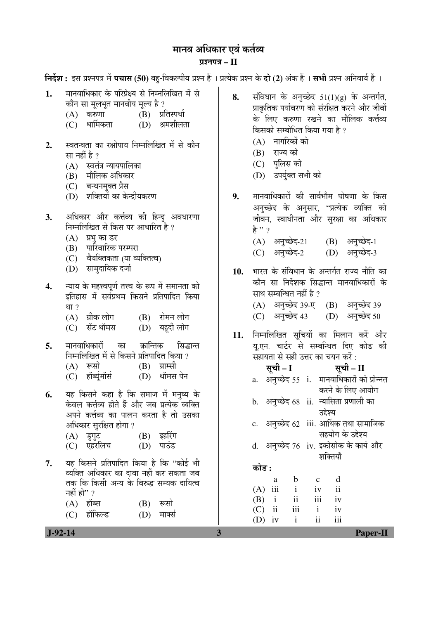# मानव अधिकार एवं कर्तव्य ¯ÖÏ¿®Ö¯Ö¡Ö **– II**

**निर्देश :** इस प्रश्नपत्र में **पचास (50)** बहु-विकल्पीय प्रश्न हैं । प्रत्येक प्रश्न के **दो (2)** अंक हैं । सभी प्रश्न अनिवार्य हैं ।

- 1. मानवाधिकार के परिप्रेक्ष्य से निम्नलिखित में से कौन सा मूलभूत मानवीय मूल्य है ?<br>(A) करुणा (B) प्रां
	- (A) करुणा (B) प्रतिस्पर्धा<br>(C) धार्मिकता (D) श्रमशीलत
	- (D) श्रमशीलता
- 2. स्वतन्त्रता का रक्षोपाय निम्नलिखित में से कौन सा नहीं है ?
	- $(A)$  स्वतंत्र न्यायपालिका
	- (B) मौलिक अधिकार
	- (C) बन्धनमुक्त प्रैस
	- (D) शक्तियों का केन्द्रीयकरण
- 3. अधिकार और कर्त्तव्य की हिन्दु अवधारणा निम्नलिखित से किस पर आधारित है ?
	- $(A)$  प्रभ का डर
	- (B) पारिवारिक परम्परा
	- (C) वैयक्तिकता (या व्यक्तित्व)
	- (D) सामदायिक दर्जा
- **4.** न्याय के महत्त्वपर्ण तत्त्व के रूप में समानता को इतिहास में सर्वप्रथम किसने प्रतिपादित किया
	- था ?<br>(A) ग्रीक लोग (A) ग्रीक लोग (B) रोमन लोग<br>(C) सेंट थॉमस (D) यहदी लोग
	- (D) यहदी लोग
- **5.** मानवाधिकारों का क्रान्तिक सिद्धान्त निम्नलिखित में से किसने प्रतिपादित किया ?
	- $(A)$  रूसो  $(B)$  ग्राम्सी
	- (C) हॉर्ब्यूमॉर्स (D) थॉमस पेन
- **6.** यह किसने कहा है कि समाज में मनुष्य के केवल कर्त्तव्य होते हैं और जब प्रत्येक व्यक्ति अपने कर्त्तव्य का पालन करता है तो उसका अधिकार सुरक्षित होगा ?
	- (A) डुगुट (B) इहरिंग<br>(C) एहरलिच (D) पाउंड (C) एहरलिच
- 7. यह किसने प्रतिपादित किया है कि "कोई भी व्यक्ति अधिकार का दावा नहीं कर सकता जब तक कि किसी अन्य के विरुद्ध सम्यक दायित्व नहीं हो" ?
	- $(A)$  हॉब्स  $(B)$  रूसो (C) हॉफिल्ड (D) मार्क्स
- 8. संविधान के अनुच्छेद 51(1)(g) के अन्तर्गत, प्राकृतिक पर्यावरण को संरक्षित करने और जीवों के लिए करुणा रखने का मौलिक कर्त्तव्य किसको सम्बोधित किया गया है ?
	- $(A)$  नागरिकों को
	- $(B)$  राज्य को
	- (C) पुलिस को
	- (D) उपर्यक्त सभी को
- 9. मानवाधिकारों की सार्वभौम घोषणा के किस अनुच्छेद के अनुसार, ''प्रत्येक व्यक्ति को जीवन, स्वाधीनता और सुरक्षा का अधिकार हे $,$ 
	- $(A)$  अनुच्छेद-21  $(B)$  अनुच्छेद-1 (C) अनुच्छेद-2 (D) अनुच्छेद-3
- 10. भारत के संविधान के अन्तर्गत राज्य नीति का कौन सा निर्देशक सिद्धान्त मानवाधिकारों के साथ सम्बन्धित नहीं है ? (A) अनुच्छेद 39-ए (B) अनुच्छेद 39 (C) अनुच्छेद 43 (D) अनुच्छेद 50
- 11. निम्नलिखित सचियों का मिलान करें और य.एन. चार्टर से सम्बन्धित दिए कोड की सहायता से सही उत्तर का चयन करें :
- ÃÖæ"Öß **I** ÃÖæ"Öß **II**  a. अनुच्छेद 55 i. मानवाधिकारों को प्रोन्नत करने के लिए आयोग b. अनुच्छेद 68 ii. न्यासिता प्रणाली का उद्देश्य  $\rm c.$  अनुच्छेद 62  $\,$ iii. आर्थिक तथा सामाजिक सहयोग के उद्देश्य d. अनुच्छेद 76 iv. इकोसोक के कार्य और ञ्जक्तियाँ 󜅐ݟ **:** a b c d (A) iii i iv ii (B) i ii iii iv

 (C) ii iii i iv  $(D)$  iv i ii iii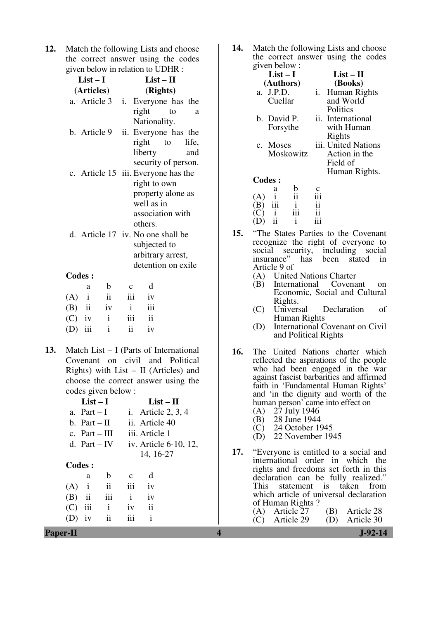**12.** Match the following Lists and choose the correct answer using the codes given below in relation to UDHR :

| $List-I$                            |             |              |                      | $List-II$ |       |  |
|-------------------------------------|-------------|--------------|----------------------|-----------|-------|--|
| (Articles)                          |             | (Rights)     |                      |           |       |  |
| a. Article 3                        |             | i.           | Everyone has the     |           |       |  |
|                                     |             |              | right                | to        | a     |  |
|                                     |             |              | Nationality.         |           |       |  |
| b. Article 9                        |             |              | ii. Everyone has the |           |       |  |
|                                     |             |              | right to             |           | life, |  |
|                                     |             |              | liberty              |           | and   |  |
|                                     |             |              | security of person.  |           |       |  |
| c. Article 15 iii. Everyone has the |             |              |                      |           |       |  |
|                                     |             |              | right to own         |           |       |  |
|                                     |             |              | property alone as    |           |       |  |
|                                     |             |              | well as in           |           |       |  |
|                                     |             |              | association with     |           |       |  |
|                                     |             |              | others.              |           |       |  |
| d. Article 17 iv. No one shall be   |             |              |                      |           |       |  |
|                                     |             | subjected to |                      |           |       |  |
|                                     |             |              | arbitrary arrest,    |           |       |  |
|                                     |             |              | detention on exile   |           |       |  |
| <b>Codes:</b>                       |             |              |                      |           |       |  |
| a                                   | $\mathbf b$ | $\mathbf{C}$ | d                    |           |       |  |
| $(A)$ i                             | ii          | iii          | iv                   |           |       |  |
| ii<br>(B)                           | iv          | $\mathbf{i}$ | iii                  |           |       |  |
| $(\cap)$ iv                         | $\ddot{ }$  | $\ddots$     | $\ddot{ }$           |           |       |  |

- $(C)$  iv i iii ii  $(D)$  iii ii iv
- **13.** Match List I (Parts of International Covenant on civil and Political Rights) with List –  $II$  (Articles) and choose the correct answer using the codes given below :

|          | $List-I$        |              |              | $List-II$            |                       |
|----------|-----------------|--------------|--------------|----------------------|-----------------------|
|          | a. Part $-I$    |              |              | i. Article $2, 3, 4$ |                       |
|          | b. Part $-II$   |              |              | ii. Article 40       |                       |
|          | c. $Part - III$ |              |              | iii. Article 1       |                       |
|          | d. Part – IV    |              |              |                      | iv. Article 6-10, 12, |
|          |                 |              |              | 14, 16-27            |                       |
| Codes:   |                 |              |              |                      |                       |
|          | a               | b            | $\mathbf c$  | d                    |                       |
| (A)      | $\mathbf{i}$    | ii           | iii          | iv                   |                       |
| $(B)$ ii |                 | iii          | $\mathbf{i}$ | iv                   |                       |
| (C)      | iii             | $\mathbf{i}$ | 1V           | $\mathbf{ii}$        |                       |
|          | iv              | ii           |              | i                    |                       |
|          |                 |              |              |                      |                       |

**14.** Match the following Lists and choose the correct answer using the codes given below :

| givell below.                 |                     |
|-------------------------------|---------------------|
| $List-I$                      | $List-II$           |
| (Authors)                     | (Books)             |
| a. J.P.D.                     | Human Rights<br>i.  |
| Cuellar                       | and World           |
|                               | <b>Politics</b>     |
| b. David P.                   | ii. International   |
| Forsythe                      | with Human          |
|                               | Rights              |
| c. Moses                      | iii. United Nations |
| Moskowitz                     | Action in the       |
|                               | Field of            |
|                               | Human Rights.       |
| <b>Codes:</b>                 |                     |
| b<br>а                        |                     |
| ii<br>(A)                     | iii                 |
| iii<br>$\frac{i}{\text{iii}}$ | ii                  |
|                               | ii                  |

**15.** "The States Parties to the Covenant recognize the right of everyone to social security, including social insurance" has been stated in Article 9 of

 $(D)$  ii ii

- (A) United Nations Charter<br>(B) International Covena
- International Covenant on Economic, Social and Cultural Rights.<br>Universal
- (C) Universal Declaration of Human Rights
- (D) International Covenant on Civil and Political Rights
- **16.** The United Nations charter which reflected the aspirations of the people who had been engaged in the war against fascist barbarities and affirmed faith in 'Fundamental Human Rights' and 'in the dignity and worth of the human person' came into effect on
	- (A) 27 July 1946<br>(B) 28 June 1944
	- 28 June 1944
	- (C) 24 October 1945<br>(D) 22 November 194 22 November 1945
- **17.** "Everyone is entitled to a social and international order in which the rights and freedoms set forth in this declaration can be fully realized." This statement is taken from which article of universal declaration of Human Rights ?<br>(A) Article 27 (A) Article 27 (B) Article 28<br>(C) Article 29 (D) Article 30 Article 29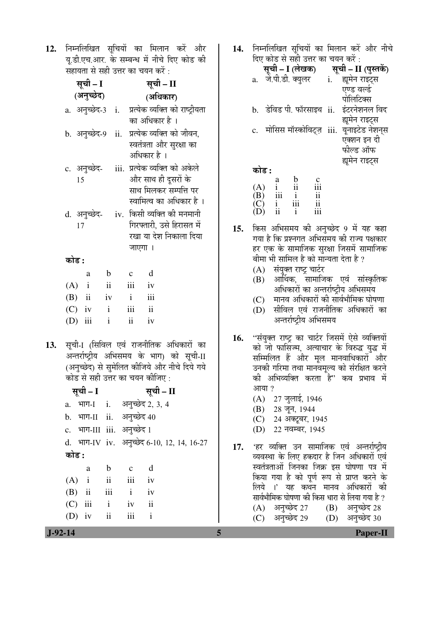12. निम्नलिखित सुचियों का मिलान करें और यू.डी.एच.आर. के सम्बन्ध में नीचे दिए कोड की  $\overline{x}$ संहायता से सही उत्तर का चयन करें $\overline{x}$  :

|     |           |    | सूची – I                   |                               |        |                           | सूची – II                                     |  |
|-----|-----------|----|----------------------------|-------------------------------|--------|---------------------------|-----------------------------------------------|--|
|     |           |    | (अनुच्छेद)                 |                               |        |                           | (अधिकार)                                      |  |
|     |           |    | a. अनुच्छेद-3 i.           |                               |        |                           | प्रत्येक व्यक्ति को राष्ट्रीयता               |  |
|     |           |    |                            |                               |        |                           | का अधिकार है ।                                |  |
|     |           |    | b. अनुच्छेद-9              |                               | ii.    |                           | प्रत्येक व्यक्ति को जीवन,                     |  |
|     |           |    |                            |                               |        |                           | स्वतंत्रता और सुरक्षा का                      |  |
|     |           |    |                            |                               |        |                           | अधिकार है ।                                   |  |
|     |           |    | c. अनुच्छेद-               |                               |        |                           | iii. प्रत्येक व्यक्ति को अकेले                |  |
|     |           | 15 |                            |                               |        |                           | और साथ ही दूसरों के<br>साथ मिलकर सम्पत्ति पर  |  |
|     |           |    |                            |                               |        |                           | स्वामित्व का अधिकार है ।                      |  |
|     |           |    | d. अनुच्छेद- iv.           |                               |        |                           | किसी व्यक्ति की मनमानी                        |  |
|     |           | 17 |                            |                               |        |                           | गिरफ्तारी, उसे हिरासत में                     |  |
|     |           |    |                            |                               |        |                           | रखा या देश निकाला दिया                        |  |
|     |           |    |                            |                               |        | जाएगा ।                   |                                               |  |
|     | कोड :     |    |                            |                               |        |                           |                                               |  |
|     |           |    | a                          | $\mathbf{b}$                  |        | $\mathbf{c}$              | $\mathbf d$                                   |  |
|     | $(A)$ i   |    |                            | $\overrightarrow{\mathbf{i}}$ |        | iii iv                    |                                               |  |
|     |           |    | $(B)$ ii iv                |                               |        | $\mathbf{i}$              | iii                                           |  |
|     | $(C)$ iv  |    | $\mathbf{i}$               |                               |        | $\overline{\mathbf{iii}}$ | $\mathbf{ii}$                                 |  |
|     | $(D)$ iii |    |                            | $\mathbf{i}$                  |        | $\mathbf{ii}$             | iv                                            |  |
| 13. |           |    |                            |                               |        |                           | सूची-1 (सिविल एवं राजनीतिक अधिकारों का        |  |
|     |           |    |                            |                               |        |                           | अन्तर्राष्ट्रीय अभिसमय के भाग) को सूची-II     |  |
|     |           |    |                            |                               |        |                           | (अनुच्छेद) से सुमेलित कीजिये और नीचे दिये गये |  |
|     |           |    |                            |                               |        |                           | कोड से सही उत्तर का चयन कीजिए :               |  |
|     |           |    | सूची – I                   |                               |        |                           | सूची – II                                     |  |
|     |           |    |                            |                               |        |                           | a. भाग-1 i. अनुच्छेद 2, 3, 4                  |  |
|     |           |    | b. भाग-II ii. अनुच्छेद 40  |                               |        |                           |                                               |  |
|     |           |    | c. भाग-III iii. अनुच्छेद 1 |                               |        |                           |                                               |  |
|     |           |    |                            |                               |        |                           | d. भाग-IV iv. अनुच्छेद 6-10, 12, 14, 16-27    |  |
|     | कोड :     |    |                            |                               |        |                           |                                               |  |
|     |           |    | a                          | $\mathbf b$                   |        | $\mathbf{c}$              | $\mathbf d$                                   |  |
|     |           |    | $(A)$ i                    |                               |        | $ii$ $iii$                | iv                                            |  |
|     |           |    | $(B)$ ii iii i             |                               |        |                           | iv                                            |  |
|     | (C)       |    | iii -                      |                               | $i$ iv |                           | $\mathbf{ii}$                                 |  |

14. निम्नलिखित सूचियों का मिलान करें और नीचे <u>दिए कोड से सही उत्तर का चयन करें :</u>

|                                                                                  | हिए कोड से सही उत्तर का चयन करें :                                                                   |                                                    |                                   |                                                                                                         |
|----------------------------------------------------------------------------------|------------------------------------------------------------------------------------------------------|----------------------------------------------------|-----------------------------------|---------------------------------------------------------------------------------------------------------|
|                                                                                  |                                                                                                      |                                                    |                                   | <b>सूची – I (लेखक)       सूची – II (पुस्तकें)</b><br>a.   जे.पी.डी. क्युलर        i.     द्यूमेन राइट्स |
|                                                                                  |                                                                                                      |                                                    |                                   |                                                                                                         |
|                                                                                  |                                                                                                      |                                                    |                                   | एण्ड वर्ल्ड                                                                                             |
|                                                                                  |                                                                                                      |                                                    |                                   | पोलिटिक्स                                                                                               |
| b.                                                                               |                                                                                                      |                                                    |                                   | ्डेविड पी. फॉरसाइथ ii.   इंटरनेशनल विद                                                                  |
|                                                                                  |                                                                                                      |                                                    |                                   | ह्यूमेन राइट्स                                                                                          |
|                                                                                  |                                                                                                      |                                                    |                                   | c. मोसिस मॉस्कोविट्ज़ iii. यूनाइटेड नेशन्स                                                              |
|                                                                                  |                                                                                                      |                                                    |                                   | एक्शन इन दी                                                                                             |
|                                                                                  |                                                                                                      |                                                    |                                   | फील्ड ऑफ                                                                                                |
|                                                                                  |                                                                                                      |                                                    |                                   | ह्यमेन राइट्स                                                                                           |
| कोड :                                                                            |                                                                                                      |                                                    |                                   |                                                                                                         |
|                                                                                  | $\begin{array}{c} \mathbf{a} \\ \mathbf{i} \\ \mathbf{iii} \\ \mathbf{i} \\ \mathbf{ii} \end{array}$ | $\frac{b}{ii}$<br>$\frac{i}{iii}$<br>$\frac{i}{i}$ | $\frac{c}{\text{iii}}$            |                                                                                                         |
| $\begin{array}{c} \text{(A)}\\ \text{(B)}\\ \text{(C)}\\ \text{(D)} \end{array}$ |                                                                                                      |                                                    |                                   |                                                                                                         |
|                                                                                  |                                                                                                      |                                                    | $\frac{1}{11}$<br>$\frac{1}{111}$ |                                                                                                         |
|                                                                                  |                                                                                                      |                                                    |                                   |                                                                                                         |

- 15. किस अभिसमय की अनुच्छेद 9 में यह कहा गया है कि प्रश्नगत अभिसमय की राज्य पक्षकार हर एक के सामाजिक सुरक्षा जिसमें सामाजिक बीमा भी सामिल है को मान्यता देता है ?
	- $(A)$  संयुक्त राष्ट्र चार्टर
	- $(B)$  आर्थिक, सामाजिक एवं सांस्कृतिक अधिकारों का अन्तर्राष्ट्रीय अभिसमय
	- $(C)$  मानव अधिकारों की सार्वभौमिक घोषणा
	- $(D)$  सीविल एवं राजनीतिक अधिकारों का अन्तर्राष्टीय अभिसमय
- 16. "संयुक्त राष्ट्र का चार्टर जिसमें ऐसे व्यक्तियों को जो फासिज्म, अत्याचार के विरुद्ध युद्ध में सम्मिलित हैं और मूल मानवाधिकारों और उनकी गरिमा तथा मानवमुल्य को संरक्षित करने की अभिव्यक्ति करता है'' कब प्रभाव में आया $, 2$ 
	- $(A)$  27 जुलाई, 1946
	- (B) 28 जून, 1944
	- (C) 24 अक्टूबर, 1945
	- (D) 22 नवम्बर, 1945
- 17. 'हर व्यक्ति उन सामाजिक एवं अन्तर्राष्ट्रीय व्यवस्था के लिए हकदार है जिन अधिकारों एवं स्वतंत्रताओं जिनका जिक्र इस घोषणा पत्र में किया गया है को पूर्ण रूप से प्राप्त करने के लिये ।' यह कथन मानव अधिकारों की सार्वभौमिक घोषणा की किस धारा से लिया गया है ?<br>´A) अनच्छेद 27 (B) अनच्छेद 28  $(A)$  अनच्छेद 27

| $(D)$ $\sqrt{2}$ | $(D)$ or $1 - 20$ |
|------------------|-------------------|
| (C) अनुच्छेद 29  | (D) अनुच्छेद 30   |
|                  |                   |

(D) iv ii iii i

 **J-92-14 5 Paper-II**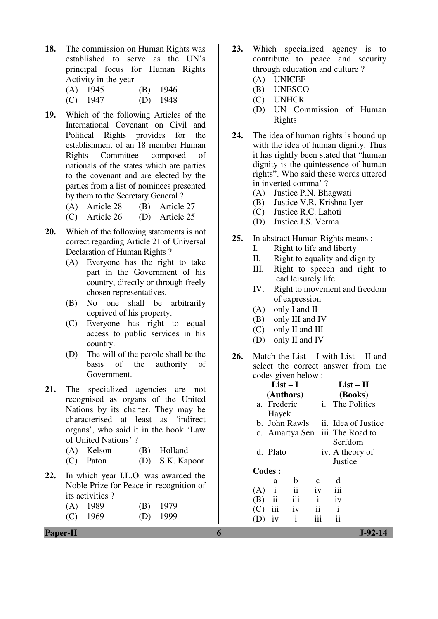- **18.** The commission on Human Rights was established to serve as the UN's principal focus for Human Rights Activity in the year
	- (A) 1945 (B) 1946
	- (C) 1947 (D) 1948
- **19.** Which of the following Articles of the International Covenant on Civil and Political Rights provides for the establishment of an 18 member Human Rights Committee composed of nationals of the states which are parties to the covenant and are elected by the parties from a list of nominees presented by them to the Secretary General ?
	- (A) Article 28 (B) Article 27
	- (C) Article 26 (D) Article 25
- **20.** Which of the following statements is not correct regarding Article 21 of Universal Declaration of Human Rights ?
	- (A) Everyone has the right to take part in the Government of his country, directly or through freely chosen representatives.
	- (B) No one shall be arbitrarily deprived of his property.
	- (C) Everyone has right to equal access to public services in his country.
	- (D) The will of the people shall be the basis of the authority of of the authority of Government.
- 21. The specialized agencies are not recognised as organs of the United Nations by its charter. They may be characterised at least as 'indirect organs', who said it in the book 'Law of United Nations' ?
	- (A) Kelson (B) Holland
	- (C) Paton (D) S.K. Kapoor
- **22.** In which year I.L.O. was awarded the Noble Prize for Peace in recognition of its activities ?

| $(A)$ 1989 | $(B)$ 1979 |
|------------|------------|
| $(C)$ 1969 | $(D)$ 1999 |

- **23.** Which specialized agency is to contribute to peace and security through education and culture ?
	- (A) UNICEF
	- (B) UNESCO
	- (C) UNHCR
	- (D) UN Commission of Human Rights
- **24.** The idea of human rights is bound up with the idea of human dignity. Thus it has rightly been stated that "human dignity is the quintessence of human rights". Who said these words uttered in inverted comma' ?
	- (A) Justice P.N. Bhagwati
	- (B) Justice V.R. Krishna Iyer
	- (C) Justice R.C. Lahoti
	- (D) Justice J.S. Verma
- **25.** In abstract Human Rights means :
	- I. Right to life and liberty
	- II. Right to equality and dignity
	- III. Right to speech and right to lead leisurely life
	- IV. Right to movement and freedom of expression
	- (A) only I and II
	- (B) only III and IV
	- (C) only II and III
	- (D) only II and IV
- **26.** Match the List I with List II and select the correct answer from the codes given below :

|     | $List-I$      |                         |              |    |                 | $List-II$                       |  |
|-----|---------------|-------------------------|--------------|----|-----------------|---------------------------------|--|
|     | (Authors)     |                         |              |    |                 | (Books)                         |  |
|     | a. Frederic   |                         |              | i. |                 | The Politics                    |  |
|     | Hayek         |                         |              |    |                 |                                 |  |
|     | b. John Rawls |                         |              |    |                 | ii. Idea of Justice             |  |
|     |               |                         |              |    |                 | c. Amartya Sen iii. The Road to |  |
|     |               |                         |              |    | Serfdom         |                                 |  |
|     | d. Plato      |                         |              |    | iv. A theory of |                                 |  |
|     |               |                         |              |    | Justice         |                                 |  |
|     | Codes :       |                         |              |    |                 |                                 |  |
|     | a             | b                       | C            |    | d               |                                 |  |
| (A) | i             | $\overline{\mathbf{1}}$ | iv           |    | iii             |                                 |  |
| (B) | ii            | iii                     | $\mathbf{i}$ |    | iv              |                                 |  |
| (C) | iii           | iv                      | 11           |    | $\mathbf{i}$    |                                 |  |
|     | iv            | i                       |              |    |                 |                                 |  |
|     |               |                         |              |    |                 |                                 |  |

**Paper-II 6 J-92-14**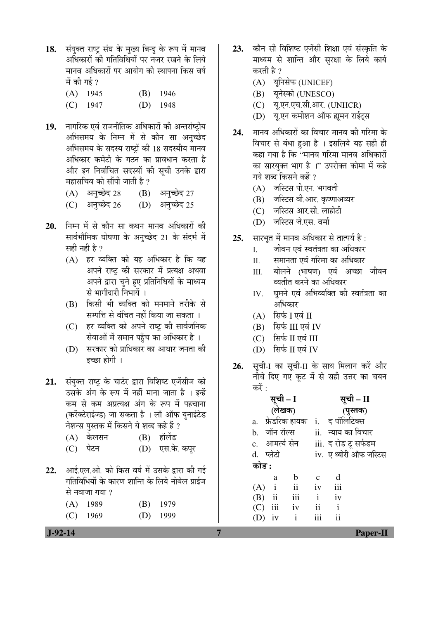18. संयुक्त राष्ट्र संघ के मुख्य बिन्दु के रूप में मानव अधिकारों की गतिविधियों पर नजर रखने के लिये मानव अधिकारों पर आयोग की स्थापना किस वर्ष में की गई  $\overline{2}$ 

| $(A)$ 1945 | $(B)$ 1946 |
|------------|------------|
| $(C)$ 1947 | $(D)$ 1948 |

19. नागरिक एवं राजनीतिक अधिकारों की अन्तर्राष्ट्रीय अभिसमय के निम्न में से कौन सा अनुच्छेद अभिसमय के सदस्य राष्ट्रों की 18 सदस्यीय मानव अधिकार कमेटी के गठन का प्रावधान करता है और इन निर्वाचित सदस्यों की सची उनके द्वारा महासचिव को सौंपी जाती है ?

| $(A)$ अनुच्छेद 28 $(B)$ अनुच्छेद 27 |                 |
|-------------------------------------|-----------------|
| (C) अनुच्छेद 26                     | (D) अनुच्छेद 25 |

- 20. निम्न में से कौन सा कथन मानव अधिकारों की सार्वभौमिक घोषणा के अनुच्छेद 21 के संदर्भ में सही नहीं है  $\overline{?}$ 
	- (A) हर व्यक्ति को यह अधिकार है कि वह अपने राष्ट्र की सरकार में प्रत्यक्ष अथवा अपने द्वारा चुने हुए प्रतिनिधियों के माध्यम से भागीदारी निभायें ।
	- $(B)$  किसी भी व्यक्ति को मनमाने तरीके से सम्पत्ति से वंचित नहीं किया जा सकता ।
	- (C) हर व्यक्ति को अपने राष्ट्र की सार्वजनिक सेवाओं में समान पहुँच का अधिकार है ।
	- (D) सरकार को प्राधिकार का आधार जनता की इच्छा होगी ।
- 21. संयुक्त राष्ट्र के चार्टर द्वारा विशिष्ट एजेंसीज को उसके अंग के रूप में नहीं माना जाता है । इन्हें कम से कम अप्रत्यक्ष अंग के रूप में पहचाना (करेंक्टेराईज्ड) जा सकता है । लॉ ऑफ युनाईटेड नेशन्स पुस्तक में किसने ये शब्द कहे हैं ?
	- (A) केलसन (B) हॉलेंड
	- (C) पेटन (D) एस.के. कपूर
- 22. आई.एल.ओ. को किस वर्ष में उसके द्वारा की गई गतिविधियों के कारण शान्ति के लिये नोबेल प्राईज से नवाजा गया ?

| $(A)$ 1989 | $(B)$ 1979 |
|------------|------------|
| $(C)$ 1969 | $(D)$ 1999 |

- 23. कौन सी विशिष्ट एजेंसी शिक्षा एवं संस्कृति के माध्यम से शान्ति और सुरक्षा के लिये कार्य करती है ?
	- (A) यूनिसेफ (UNICEF)
	- (B) यनेस्को (UNESCO)
	- (C) यू.एन.एच.सी.आर. (UNHCR)
	- (D) य.एन कमीशन ऑफ ह्यमन राईटस
- **24.** मानव अधिकारों का विचार मानव की गरिमा के विचार से बंधा हुआ है । इसलिये यह सही ही कहा गया है कि ''मानव गरिमा मानव अधिकारों का सारयक्त भाग है ।" उपरोक्त कोमा में कहे गये शब्द किसने कहें ?
	- $(A)$  जस्टिस पी.एन. भगवती
	- (B) जस्टिस वी.आर. कृष्णाअय्यर
	- (C) जस्टिस आर.सी. लाहोटी
	- (D) जस्टिस जे.एस. वर्मा
- **25.** सारभुत में मानव अधिकार से तात्पर्य है:
	- I. जीवन एवं स्वतंत्रता का अधिकार
	- II. समानता एवं गरिमा का अधिकार
	- III. बोलने (भाषण) एवं अच्छा जीवन व्यतीत करने का अधिकार
	- IV. घमने एवं अभिव्यक्ति की स्वतंत्रता का आधिकार
	- $(A)$  सिर्फ I एवं II
	- $(B)$  सिर्फ III एवं IV
	- $(C)$  सिर्फ II एवं III
	- $(D)$  सिर्फ II एवं IV
- 26. सूची-I का सूची-II के साथ मिलान करें और नीचे दिए गए कट में से सही उत्तर का चयन कों :

| सूची – I<br>(लेखक) |                    | सूची – II    |                |                       |  |
|--------------------|--------------------|--------------|----------------|-----------------------|--|
|                    |                    | (पुस्तक)     |                |                       |  |
|                    | a.   फ्रेडरिक हायक |              | i. द पॉलिटिक्स |                       |  |
| b. जॉन रॉल्स       |                    |              |                | ii.   न्याय का विचार  |  |
| c. आमर्त्य सेन     |                    |              |                | iii. द रोड टू सर्फडम  |  |
| d. प्लेटो          |                    |              |                | iv. एथ्योरी ऑफ जस्टिस |  |
| कोड :              |                    |              |                |                       |  |
| a                  | b                  | $\mathbf{C}$ | d              |                       |  |
| $(A)$ i            | ii                 | iv           | iii            |                       |  |
| $(B)$ ii           | iii                | $\mathbf{i}$ | iv             |                       |  |
| $(C)$ iii          | iv                 | ii           | $\mathbf{i}$   |                       |  |
| iv                 | $\mathbf{i}$       |              |                |                       |  |
|                    |                    |              |                |                       |  |

 **J-92-14 7 Paper-II**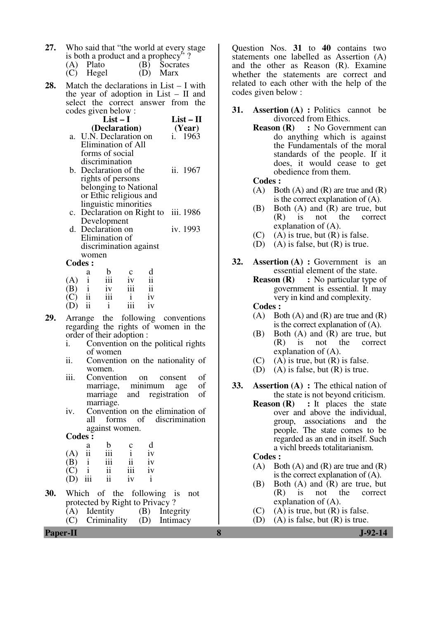| 27. | Who said that "the world at every stage" |
|-----|------------------------------------------|
|     | is both a product and a prophecy"?       |

| (A) Plato   | (B) Socrates |
|-------------|--------------|
| $(C)$ Hegel | (D) Marx     |

**28.** Match the declarations in List – I with the year of adoption in List – II and select the correct answer from the codes given below :

| $List-I$               | $List-II$ |
|------------------------|-----------|
| (Declaration)          | (Year)    |
| a. U.N. Declaration on | i. 1963   |
| Elimination of All     |           |
| forms of social        |           |

- discrimination b. Declaration of the rights of persons belonging to National or Ethic religious and ii. 1967
- linguistic minorities c. Declaration on Right to iii. 1986 Development
- d. Declaration on Elimination of discrimination against women iv. 1993

**Codes :** 

|     | a  | b   | C   | d  |
|-----|----|-----|-----|----|
| (A) |    | iii | iv  | ii |
| (B) |    | iv  | 111 | ii |
| (C) | ii | iii |     | iv |
| (D) | ii |     | 111 | iv |

- **29.** Arrange the following conventions regarding the rights of women in the order of their adoption :
	- i. Convention on the political rights of women
	- ii. Convention on the nationality of women.
	- iii. Convention on consent of marriage, minimum age of marriage, minimum age of<br>marriage and registration of marriage and registration marriage.
	- iv. Convention on the elimination of all forms of discrimination against women.

**Codes :** 

| ----- |     |     |     |    |
|-------|-----|-----|-----|----|
|       | a   | b   | C   | d  |
| (A)   | ii  | 111 |     | iv |
| (B)   |     | 111 | 11  | iv |
| (C)   |     | 11  | 111 | iv |
| (D)   | iii | 11  | iv  |    |

- **30.** Which of the following is not protected by Right to Privacy ?
	- (A) Identity (B) Integrity (C) Criminality (D) Intimacy

Question Nos. **31** to **40** contains two statements one labelled as Assertion (A) and the other as Reason (R). Examine whether the statements are correct and related to each other with the help of the codes given below :

- **31. Assertion (A) :** Politics cannot be divorced from Ethics.
	- **Reason (R) :** No Government can do anything which is against the Fundamentals of the moral standards of the people. If it does, it would cease to get obedience from them.

 **Codes :**

- $(A)$  Both  $(A)$  and  $(R)$  are true and  $(R)$ is the correct explanation of (A).
- (B) Both (A) and (R) are true, but (R) is not the correct explanation of (A).
- $(C)$  (A) is true, but  $(R)$  is false.
- (D) (A) is false, but  $(R)$  is true.
- **32. Assertion (A) :** Government is an essential element of the state.
	- **Reason (R)** : No particular type of government is essential. It may very in kind and complexity.

 **Codes :**

- (A) Both (A) and (R) are true and  $(R)$ is the correct explanation of (A).
- (B) Both (A) and (R) are true, but (R) is not the correct explanation of (A).
- (C) (A) is true, but  $(R)$  is false.
- (D) (A) is false, but  $(R)$  is true.
- **33. Assertion (A) :** The ethical nation of the state is not beyond criticism.
	- **Reason (R)** : It places the state over and above the individual, group, associations and the people. The state comes to be regarded as an end in itself. Such a vichl breeds totalitarianism.

 **Codes :**

- $(A)$  Both  $(A)$  and  $(R)$  are true and  $(R)$ is the correct explanation of (A).
- (B) Both (A) and (R) are true, but (R) is not the correct explanation of (A).
- $(C)$  (A) is true, but  $(R)$  is false.
- (D) (A) is false, but  $(R)$  is true.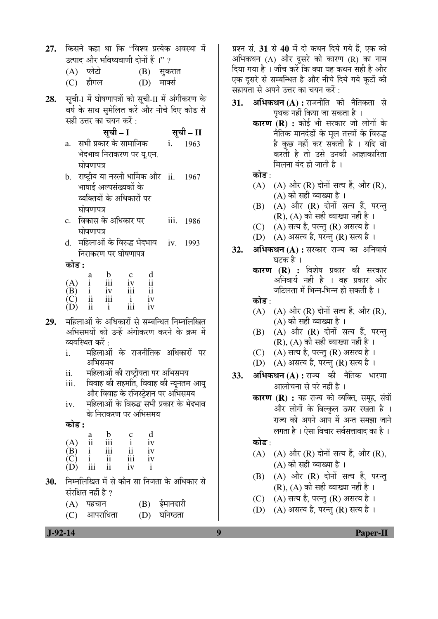| 27. | किसने कहा था कि ''विश्व प्रत्येक अवस्था में<br>उत्पाद और भविष्यवाणी दोनों हैं ।" ?<br>(A) प्लेटो<br>(B) सुकरात                                                                                                                        |              |  |  |  |  |  |
|-----|---------------------------------------------------------------------------------------------------------------------------------------------------------------------------------------------------------------------------------------|--------------|--|--|--|--|--|
|     | (C) हीगल<br>(D) मार्क्स                                                                                                                                                                                                               | दिया<br>एक ग |  |  |  |  |  |
|     | 28. सूची-I में घोषणापत्रों को सूची-II में अंगीकरण के<br>वर्ष के साथ सुमेलित करें और नीचे दिए कोड से<br>सही उत्तर का चयन करें :<br>सूची – I<br>सूची – II                                                                               | सहाय<br>31.  |  |  |  |  |  |
|     | 1963<br>a.<br>भेदभाव निराकरण पर यू.एन.<br>घोषणापत्र                                                                                                                                                                                   |              |  |  |  |  |  |
|     | b.   राष्ट्रीय या नस्ली धार्मिक और   ii.<br>1967<br>भाषाई अल्पसंख्यकों के<br>व्यक्तियों के अधिकारों पर<br>घोषणापत्र                                                                                                                   |              |  |  |  |  |  |
|     | विकास के अधिकार पर<br>iii.<br>c.<br>1986<br>घोषणापत्र                                                                                                                                                                                 |              |  |  |  |  |  |
|     | महिलाओं के विरुद्ध भेदभाव    iv.<br>d.<br>1993<br>निराकरण पर घोषणापत्र                                                                                                                                                                | 32.          |  |  |  |  |  |
|     | कोड :                                                                                                                                                                                                                                 |              |  |  |  |  |  |
|     | d<br>$\begin{array}{ccccccccc} & & & a & & b & & c \\ (A) & i & & iii & & iv \\ (B) & i & & iv & & iii \\ (C) & ii & iii & i \\ (D) & ii & i & & iii \end{array}$<br>$\overline{\textbf{ii}}$<br>$\overline{\textbf{ii}}$<br>iv<br>iv |              |  |  |  |  |  |
| 29. | महिलाओं के अधिकारों से सम्बन्धित निम्नलिखित<br>अभिसमयों को उन्हें अंगीकरण करने के क्रम में<br>व्यवस्थित करें :                                                                                                                        |              |  |  |  |  |  |
|     | महिलाओं के राजनीतिक अधिकारों पर<br>i.<br>अभिसमय                                                                                                                                                                                       |              |  |  |  |  |  |
|     | महिलाओं की राष्ट्रीयता पर अभिसमय<br>ii.<br>विवाह की सहमति, विवाह की न्यूनतम आयु<br>iii.<br>और विवाह के रजिस्ट्रेशन पर अभिसमय                                                                                                          | 33.          |  |  |  |  |  |
|     | महिलाओं के विरुद्ध सभी प्रकार के भेदभाव<br>iv.<br>के निराकरण पर अभिसमय                                                                                                                                                                |              |  |  |  |  |  |
|     | कोड :                                                                                                                                                                                                                                 |              |  |  |  |  |  |
|     | d<br>$\mathbf b$<br>$\frac{c}{i}$<br>a<br>$\ddot{\mathbf{i}}$<br>iii<br>(A)<br>iv<br>$\rm ii$<br>$\frac{iii}{ii}$<br>(B)<br>$\mathbf{i}$<br>iv<br>iii<br>iv<br>$\mathbf{i}$<br>(C)<br>ii<br>iii<br>iv<br>$\mathbf{i}$                 |              |  |  |  |  |  |
| 30. | निम्नलिखित में से कौन सा निजता के अधिकार से                                                                                                                                                                                           |              |  |  |  |  |  |
|     | संरक्षित नहीं है ?                                                                                                                                                                                                                    |              |  |  |  |  |  |

 $(C)$  आपराधिता  $(D)$  घनिष्ठता

सं. 31 से 40 में दो कथन दिये गये हैं. एक को कथन (A) और दूसरे को कारण (R) का नाम गया है । जाँच करें कि क्या यह कथन सही है और दसरे से सम्बन्धित है और नीचे दिये गये कटों की ग्ता से अपने उत्तर का चयन करें :

- **अभिकथन (A) :** राजनीति को नैतिकता से पृथक नहीं किया जा सकता है ।
	- **कारण (R) :** कोई भी सरकार जो लोगों के <u>नैतिक मानदंडों के मूल तत्त्वों के विरुद्ध</u> है कुछ नहीं कर सकती है । यदि वो करती है तो उसे उनकी आज्ञाकारिता मिलना बंद हो जाती है ।

#### कोड $\cdot$

- (A)  $(A)$  और (R) दोनों सत्य हैं, और (R),  $(A)$  की सही व्याख्या है ।
- $(B)$   $(A)$  और  $(R)$  दोनों सत्य हैं, परन्त  $(R)$ ,  $(A)$  की सही व्याख्या नहीं है ।
- (C) (A) सत्य है, परन्तु (R) असत्य है।
- (D)  $(A)$  असत्य है, परन्तु (R) सत्य है।
- **अभिकथन (A) :** सरकार राज्य का अनिवार्य घटक है ।
	- **कारण (R) :** विशेष प्रकार की सरकार अनिवार्य नहीं है । वह प्रकार और जटिलता में भिन्न-भिन्न हो सकती है ।
	- कोड :
	- $(A)$   $(A)$  और  $(R)$  दोनों सत्य हैं, और  $(R)$ ,  $(A)$  की सही व्याख्या है ।
	- $(B)$   $(A)$  और  $(R)$  दोनो सत्य है, परन्तु  $(R)$ ,  $(A)$  की सही व्याख्या नहीं है ।
	- $(C)$   $(A)$  सत्य है, परन्तु  $(R)$  असत्य है ।
	- $(D)$   $(A)$  असत्य है, परन्तु  $(R)$  सत्य है ।
- **अभिकथन (A) :** राज्य की नैतिक धारणा आलोचना से परे नहीं है ।
	- **कारण (R) :** यह राज्य को व्यक्ति, समूह, संघों और लोगों के बिल्कुल ऊपर रखता है । राज्य को अपने आप में अन्त समझा जाने लगता है । ऐसा विचार सर्वसत्तावाद का है ।

### कोड  $\cdot$

- $(A)$   $(A)$  और  $(R)$  दोनों सत्य हैं, और  $(R)$ ,  $(A)$  की सही व्याख्या है ।
- $(B)$   $(A)$  और  $(R)$  दोनों सत्य हैं, परन्तु  $(R)$ ,  $(A)$  की सही व्याख्या नहीं है ।
- $(C)$   $(A)$  सत्य है, परन्तु  $(R)$  असत्य है ।
- (D)  $(A)$  असत्य है, परन्तु (R) सत्य है।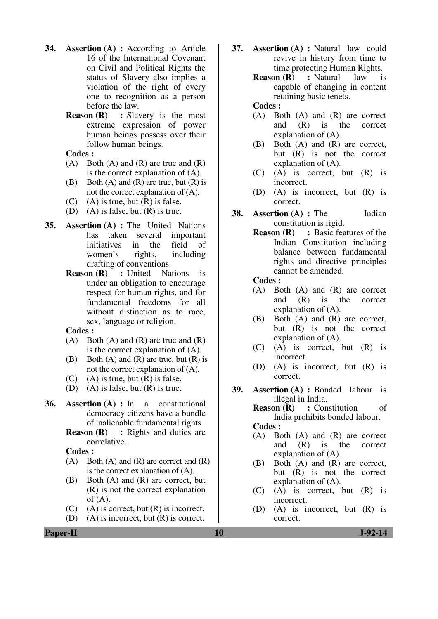- **34. Assertion (A) :** According to Article 16 of the International Covenant on Civil and Political Rights the status of Slavery also implies a violation of the right of every one to recognition as a person before the law.
	- **Reason (R)** : Slavery is the most extreme expression of power human beings possess over their follow human beings.

 **Codes :**

- $(A)$  Both  $(A)$  and  $(R)$  are true and  $(R)$ is the correct explanation of (A).
- (B) Both  $(A)$  and  $(R)$  are true, but  $(R)$  is not the correct explanation of (A).
- $(C)$  (A) is true, but  $(R)$  is false.
- (D) (A) is false, but (R) is true.
- **35. Assertion (A) :** The United Nations has taken several important initiatives in the field of women's rights, including drafting of conventions.
	- **Reason (R)** : United Nations is under an obligation to encourage respect for human rights, and for fundamental freedoms for all without distinction as to race, sex, language or religion.

 **Codes :**

- (A) Both (A) and (R) are true and  $(R)$ is the correct explanation of (A).
- (B) Both  $(A)$  and  $(R)$  are true, but  $(R)$  is not the correct explanation of (A).
- $(C)$  (A) is true, but  $(R)$  is false.
- (D) (A) is false, but (R) is true.
- **36. Assertion (A) :** In a constitutional democracy citizens have a bundle of inalienable fundamental rights.
	- **Reason (R)** : Rights and duties are correlative.

 **Codes :**

- $(A)$  Both  $(A)$  and  $(R)$  are correct and  $(R)$ is the correct explanation of (A).
- (B) Both (A) and (R) are correct, but (R) is not the correct explanation of  $(A)$ .
- $(C)$  (A) is correct, but  $(R)$  is incorrect.
- (D) (A) is incorrect, but (R) is correct.
- **37. Assertion (A) :** Natural law could revive in history from time to time protecting Human Rights.
	- **Reason (R)** : Natural law is capable of changing in content retaining basic tenets.

#### **Codes :**

- (A) Both (A) and (R) are correct and (R) is the correct explanation of (A).
- (B) Both (A) and (R) are correct, but (R) is not the correct explanation of (A).
- (C) (A) is correct, but (R) is incorrect.
- (D) (A) is incorrect, but (R) is correct.
- **38. Assertion (A) :** The Indian constitution is rigid.
	- **Reason (R)** : Basic features of the Indian Constitution including balance between fundamental rights and directive principles cannot be amended.

 **Codes :**

- (A) Both (A) and (R) are correct and (R) is the correct explanation of (A).
- (B) Both (A) and (R) are correct, but (R) is not the correct explanation of (A).
- (C) (A) is correct, but (R) is incorrect.
- (D) (A) is incorrect, but (R) is correct.
- **39. Assertion (A) :** Bonded labour is illegal in India.
	- **Reason (R)** : Constitution of India prohibits bonded labour.

 **Codes :**

- (A) Both (A) and (R) are correct and (R) is the correct explanation of (A).
- (B) Both (A) and (R) are correct, but (R) is not the correct explanation of (A).
- (C) (A) is correct, but (R) is incorrect.
- (D) (A) is incorrect, but (R) is correct.

**Paper-II** J-92-14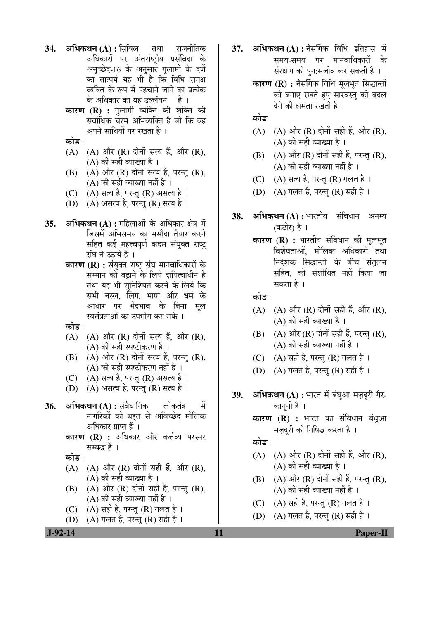- **34. अभिकथन (A) :** सिविल तथा राजनीतिक अधिकारों पर अंतर्राष्ट्रीय प्रसंविदा के अनुच्छेद-16 के अनुसार गुलामी के दर्जे का तात्पर्य यह भी है कि विधि समक्ष व्यक्ति के रूप में पहचाने जाने का प्रत्येक के अधिकार का यह उल्लंघन न है ।
	- **कारण (R) :** गलामी व्यक्ति की शक्ति की सर्वाधिक चरम अभिव्यक्ति है जो कि वह अपने साथियों पर रखता है ।

कोड :

- $(A)$   $(A)$  और  $(R)$  दोनों सत्य हैं, और  $(R)$ , (A) की सही व्याख्या है ।
- $(B)$   $(A)$  और  $(R)$  दोनों सत्य हैं, परन्तु  $(R)$ ,  $(A)$  की सही व्याख्या नहीं है ।
- $(C)$   $(A)$  सत्य है, परन्तु  $(R)$  असत्य है ।
- (D) (A) असत्य है, परन्तु (R) सत्य है।
- 35. **अभिकथन (A) :** महिलाओं के अधिकार क्षेत्र में जिसमें अभिसमय का मसौदा तैयार करने सहित कई महत्त्वपूर्ण कदम संयुक्त राष्ट् संघ $\hat{a}$  तकाये हैं ।
	- **कारण (R) :** संयुक्त राष्ट्र संघ मानवाधिकारों के सम्मान को बढ़ाने के लिये दायित्वाधीन है तथा यह भी सुनिश्चित करने के लिये कि सभी नस्ल, लिंग, भाषा और धर्म क<mark>े</mark> आधार पर भेदभाव के बिना मल स्वतंत्रताओं का उपभोग कर सके ।

कोड $\cdot$ 

- $(A)$   $(A)$  और  $(R)$  दोनों सत्य हैं, और  $(R)$ , (A) की सही स्पष्टीकरण है ।
- $(B)$   $(A)$  और  $(R)$  दोनों सत्य हैं, परन्तु  $(R)$ ,  $(A)$  की सही स्पष्टीकरण नहीं है ।
- $(C)$   $(A)$  सत्य है, परन्तु  $(R)$  असत्य है ।
- $(D)$   $(A)$  असत्य है, परन्तु  $(R)$  सत्य है ।
- **36. अभिकथन (A) :** संवैधानिक लोकतंत्र में नागरिकों को बहत से अविच्छेद मौलिक अधिकार प्राप्त हैं ।
	- **कारण (R) :** अधिकार और कर्त्तव्य परस्पर सम्बद्ध $\breve{\varepsilon}$ ।

कोड :

- $(A)$   $(A)$  और  $(R)$  दोनों सही हैं, और  $(R)$ , (A) की सही व्याख्या है ।
- (B)  $(A)$  और  $(R)$  दोनों सही हैं, परन्तु  $(R)$ , (A) की सही व्याख्या नहीं है ।
- (C)  $(A)$  सही है, परन्तु (R) गलत है।
- (D)  $(A)$  गलत है, परन्तु (R) सही है।
- 37. **अभिकथन (A) :** नैसर्गिक विधि इतिहास में समय-समय पर मानवाधिकारों के संरक्षण को पुन:सजीव कर सकती है ।
	- **कारण (R) :** नैर्सागक विधि मूलभूत सिद्धान्तों को बनाए रखते हुए सारवस्तु को बदल देने की क्षमता रखती है।

कोड :

- $(A)$   $(A)$  और  $(R)$  दोनों सही हैं, और  $(R)$ ,  $(A)$  की सही व्याख्या है।
- $(B)$   $(A)$  और  $(R)$  दोनों सही हैं, परन्तु  $(R)$ ,  $(A)$  की सही व्याख्या नहीं है ।
- (C)  $(A)$  सत्य है, परन्तु (R) गलत है।
- (D)  $(A)$  गलत है, परन्तु (R) सही है ।
- 38. अभिकथन (A) : भारतीय संविधान अनम्य (कठोर) है ।
	- **कारण (R) :** भारतीय संविधान की मूलभूत विशेषताओं, मौलिक अधिकारों तथा निर्देशक सिद्धान्तों के बीच संतुलन सहित, को संशोधित नहीं किया जा सकता है ।

कोड :

- (A)  $(A)$  और  $(R)$  दोनों सही हैं, और  $(R)$ ,  $(A)$  की सही व्याख्या है।
- $(B)$   $(A)$  और  $(R)$  दोनों सही हैं, परन्तु  $(R)$ , (A) की सही व्याख्या नहीं है ।
- (C)  $(A)$  सही है, परन्तु (R) गलत है।
- (D)  $(A)$  गलत है, परन्तु (R) सही है ।
- **39. अभिकथन (A) :** भारत में बंधुआ मज़दूरी गैर-काननी है ।
	- **कारण (R) :** भारत का संविधान बंधुआ मज़दुरी को निषिद्ध करता है ।

कोड  $\cdot$ 

- (A)  $(A)$  और  $(R)$  दोनों सही हैं. और  $(R)$ ,  $(A)$  की सही व्याख्या है।
- $(B)$   $(A)$  और  $(R)$  दोनों सही हैं, परन्तु  $(R)$ , (A) की सही व्याख्या नहीं है ।
- (C)  $(A)$  सही है, परन्त (R) गलत है।
- (D)  $(A)$  गलत है, परन्तु (R) सही है ।

 **J-92-14 11 Paper-II**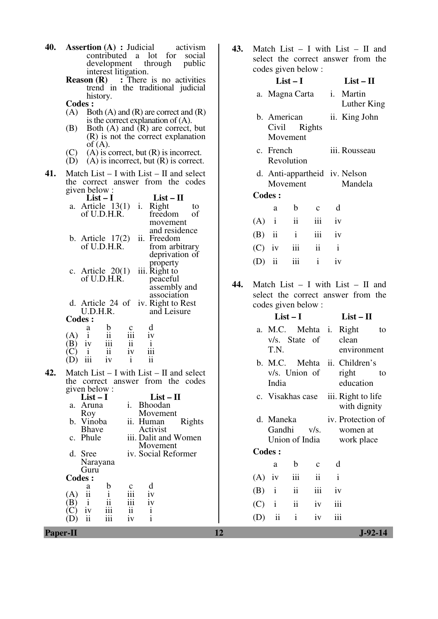| <b>40.</b> Assertion (A) : Judicial | activism |  |  |
|-------------------------------------|----------|--|--|
| contributed a lot for social        |          |  |  |
| development through public          |          |  |  |
| interest litigation.                |          |  |  |

- **Reason (R)** : There is no activities trend in the traditional judicial history.
	- **Codes :**
	- $(A)$  Both  $(A)$  and  $(R)$  are correct and  $(R)$ is the correct explanation of (A).
	- (B) Both (A) and (R) are correct, but (R) is not the correct explanation  $\mathop{\mathrm{of}}'(\mathsf{A}).$
	- (C) (A) is correct, but  $(R)$  is incorrect.
	- $(D)$   $(A)$  is incorrect, but  $(R)$  is correct.
- **41.** Match List I with List II and select the correct answer from the codes given below :

|     |                                                                                                                                                                                                                                                                    | $List-I$ |                 | $List-II$                                    |    |
|-----|--------------------------------------------------------------------------------------------------------------------------------------------------------------------------------------------------------------------------------------------------------------------|----------|-----------------|----------------------------------------------|----|
|     | a. Article $13(1)$ i.                                                                                                                                                                                                                                              |          |                 | Right                                        | to |
|     | of U.D.H.R.                                                                                                                                                                                                                                                        |          |                 | freedom                                      | of |
|     |                                                                                                                                                                                                                                                                    |          |                 | movement                                     |    |
|     |                                                                                                                                                                                                                                                                    |          |                 | and residence                                |    |
|     | b. Article $17(2)$                                                                                                                                                                                                                                                 |          |                 | ii. Freedom                                  |    |
|     | of U.D.H.R.                                                                                                                                                                                                                                                        |          |                 | from arbitrary                               |    |
|     |                                                                                                                                                                                                                                                                    |          |                 | deprivation of                               |    |
|     |                                                                                                                                                                                                                                                                    |          |                 | property                                     |    |
|     | c. Article $20(1)$                                                                                                                                                                                                                                                 |          |                 | iii. Right to                                |    |
|     | of U.D.H.R.                                                                                                                                                                                                                                                        |          |                 | peaceful                                     |    |
|     |                                                                                                                                                                                                                                                                    |          |                 | assembly and                                 |    |
|     |                                                                                                                                                                                                                                                                    |          |                 | association                                  |    |
|     |                                                                                                                                                                                                                                                                    |          |                 | d. Article 24 of iv. Right to Rest           |    |
|     | U.D.H.R.                                                                                                                                                                                                                                                           |          |                 | and Leisure                                  |    |
|     | <b>Codes:</b>                                                                                                                                                                                                                                                      |          |                 |                                              |    |
|     |                                                                                                                                                                                                                                                                    |          | $\frac{c}{111}$ | d                                            |    |
|     |                                                                                                                                                                                                                                                                    |          |                 | $i$ y                                        |    |
|     |                                                                                                                                                                                                                                                                    |          |                 | $\frac{1}{1}$ iii                            |    |
|     |                                                                                                                                                                                                                                                                    |          |                 |                                              |    |
|     | (A) $\begin{array}{ccc} & \text{a} & \text{b} & \text{c} \\ \text{(A)} & \text{i} & \text{ii} & \text{iii} \\ \text{(B)} & \text{iv} & \text{iii} & \text{ii} \\ \text{(C)} & \text{i} & \text{ii} & \text{iv} \\ \text{(D)} & \text{iii} & \text{iv} \end{array}$ |          |                 | ii                                           |    |
| 42. |                                                                                                                                                                                                                                                                    |          |                 | Match List $-$ I with List $-$ II and select |    |
|     |                                                                                                                                                                                                                                                                    |          |                 | the correct answer from the codes            |    |
|     | given below:                                                                                                                                                                                                                                                       |          |                 |                                              |    |
|     | $List-I$                                                                                                                                                                                                                                                           |          |                 | $List - II$                                  |    |
|     | a Aruna                                                                                                                                                                                                                                                            |          |                 | i Rhoodan                                    |    |

| <b>Paper-II</b>                    |                                 | 12            |              |                |                     |                   | $J-92-14$ |
|------------------------------------|---------------------------------|---------------|--------------|----------------|---------------------|-------------------|-----------|
| iii<br>(D)<br>11                   | iv                              | (D)           | ii           | $\mathbf{i}$   | 1V                  | $\cdots$<br>111   |           |
| iii<br>1V                          | ii                              | (C)           | $\mathbf{i}$ | $\mathbf{ii}$  | iv                  | iii               |           |
| (A)<br>$\overline{11}$<br>ii<br>B) | iii<br>iv                       |               |              |                |                     |                   |           |
| b<br>a                             | d<br>$\frac{c}{iii}$<br>iv      | (B)           | $\mathbf{i}$ | $\ddot{\rm n}$ | iii                 | iv                |           |
| <b>Codes:</b>                      |                                 | (A)           | iv           | iii            | $\ddot{\mathbf{i}}$ | $\mathbf{i}$      |           |
| Guru                               |                                 |               | a            | b              | $\mathbf{c}$        | d                 |           |
| Narayana                           |                                 |               |              |                |                     |                   |           |
| d. Sree                            | Movement<br>iv. Social Reformer | <b>Codes:</b> |              |                |                     |                   |           |
| c. Phule                           | iii. Dalit and Women            |               |              | Union of India |                     | work place        |           |
| b. Vinoba<br><b>Bhave</b>          | Rights<br>ii. Human<br>Activist |               | Gandhi       |                | V/S.                | women at          |           |
| Roy                                | Movement                        |               | d. Maneka    |                |                     | iv. Protection of |           |
| a. Aruna                           | <b>Bhoodan</b><br>1.            |               |              |                |                     | with dignity      |           |
|                                    |                                 |               |              |                |                     |                   |           |

**43.** Match List – I with List – II and select the correct answer from the

|     |                               | codes given below :                     |                                                                  |              |                          |                                                                             |    |  |
|-----|-------------------------------|-----------------------------------------|------------------------------------------------------------------|--------------|--------------------------|-----------------------------------------------------------------------------|----|--|
|     |                               |                                         | $List-I$                                                         |              | $List - II$              |                                                                             |    |  |
|     |                               | a. Magna Carta                          |                                                                  |              | i. Martin<br>Luther King |                                                                             |    |  |
|     |                               | b. American<br>Civil Rights<br>Movement |                                                                  |              |                          | ii. King John                                                               |    |  |
|     | c. French<br>Revolution       |                                         |                                                                  |              |                          | iii. Rousseau                                                               |    |  |
|     | d. Anti-appartheid iv. Nelson |                                         |                                                                  |              |                          |                                                                             |    |  |
|     | Movement<br><b>Codes:</b>     |                                         |                                                                  |              |                          | Mandela                                                                     |    |  |
|     |                               |                                         |                                                                  |              |                          |                                                                             |    |  |
|     |                               | a                                       | $\mathbf{b}$                                                     | $\mathbf{c}$ | d                        |                                                                             |    |  |
|     |                               | $(A)$ i                                 | $\overline{\mathbf{u}}$                                          |              | iii iv                   |                                                                             |    |  |
|     |                               | $(B)$ ii i                              |                                                                  |              | iii iv                   |                                                                             |    |  |
|     |                               | $(C)$ iv iii ii                         |                                                                  |              | $\mathbf{i}$             |                                                                             |    |  |
|     |                               | $(D)$ ii                                | iii                                                              | $\mathbf{i}$ | iv                       |                                                                             |    |  |
| 44. |                               | codes given below:                      |                                                                  |              |                          | Match List $-$ I with List $-$ II and<br>select the correct answer from the |    |  |
|     |                               | $List-I$                                |                                                                  |              |                          | $List - II$                                                                 |    |  |
|     |                               | v/s. State of<br>T.N.                   |                                                                  |              |                          | a. M.C. Mehta i. Right<br>clean<br>environment                              | to |  |
|     |                               |                                         | $\mathbf{r}$ $\mathbf{r}$ $\mathbf{r}$ $\mathbf{r}$ $\mathbf{r}$ |              |                          | b. M.C. Mehta ii. Children's                                                |    |  |

|          | v/s. State of clean<br>T.N. |                          |                     |              | a. M.C. Mehta i. Right<br>to<br>environment                |  |
|----------|-----------------------------|--------------------------|---------------------|--------------|------------------------------------------------------------|--|
|          | v/s. Union of<br>India      |                          |                     |              | b. M.C. Mehta ii. Children's<br>right<br>to<br>education   |  |
|          |                             |                          |                     |              | c. Visakhas case iii. Right to life<br>with dignity        |  |
|          | d. Maneka<br>Gandhi         |                          | V/S.                |              | iv. Protection of<br>women at<br>Union of India work place |  |
|          | <b>Codes:</b>               |                          |                     |              |                                                            |  |
|          | a                           | b                        | $\mathbf c$         |              | d                                                          |  |
| $(A)$ iv |                             | iii                      | $\ddot{\mathbf{i}}$ | $\mathbf{i}$ |                                                            |  |
|          | $(B)$ i                     | $\overline{\mathbf{u}}$  | iii                 | iv           |                                                            |  |
| $(C)$ i  |                             | $\overline{\mathbf{ii}}$ | iv                  |              | iii                                                        |  |
| (D)      | $\overline{\mathbf{ii}}$    | $\mathbf{i}$             | iv                  |              | iii                                                        |  |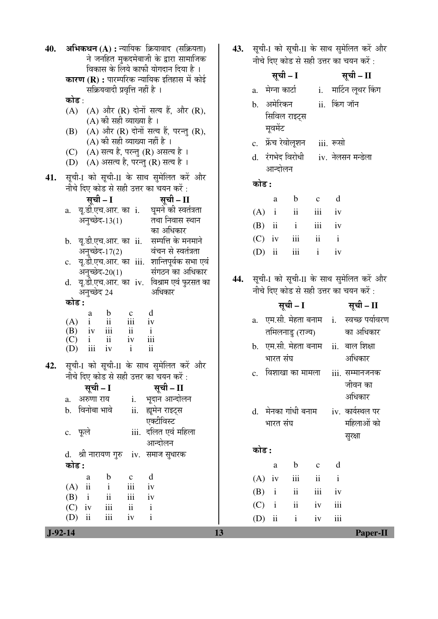| 40. | अभिकथन (A) : न्यायिक क्रियावाद (सक्रियता)<br>ने जनहित मुकदमेबाजी के द्वारा सामाजिक                     | 43. | सूची-I को सूची-II के साथ सुमेलित करें और<br>नीचे दिए कोड से सही उत्तर का चयन करें : |
|-----|--------------------------------------------------------------------------------------------------------|-----|-------------------------------------------------------------------------------------|
|     | विकास के लिये काफी योगदान दिया है।                                                                     |     | सूची – I<br>सूची – II                                                               |
|     | <b>कारण (R) :</b> पारम्परिक न्यायिक इतिहास में कोई                                                     |     | a.   मेग्ना कार्टा                                                                  |
|     | सक्रियवादी प्रवृत्ति नहीं है ।<br>कोड :                                                                |     | i. मार्टिन लूथर किंग                                                                |
|     | (A) और (R) दोनों सत्य हैं, और (R),<br>(A)                                                              |     | b. अमेरिकन<br>ii. किंग जॉन                                                          |
|     | (A) की सही व्याख्या है ।                                                                               |     | सिविल राइट्स                                                                        |
|     | (A) और (R) दोनों सत्य हैं, परन्तु (R),<br>(B)                                                          |     | मूवमेंट                                                                             |
|     | (A) की सही व्याख्या नहीं है ।                                                                          |     | c. फ्रेंच रेवोलूशन iii. रूसो                                                        |
|     | (C) (A) सत्य है, परन्तु (R) असत्य है ।<br>(A) असत्य है, परन्तु (R) सत्य है।<br>(D)                     |     | d. रंगभेद विरोधी iv. नेलसन मन्डेला                                                  |
|     |                                                                                                        |     | आन्दोलन                                                                             |
| 41. | सूची-1 को सूची-II के साथ सुमेलित करें और<br>नीचे दिए कोड से सही उत्तर का चयन करें :                    |     | कोड :                                                                               |
|     | सूची – I<br>सूची – $II$                                                                                |     | d<br>$\mathbf b$<br>a<br>$\mathbf{C}$                                               |
|     | a. यू.डी.एच.आर. का i.   घूमने की स्वतंत्रता                                                            |     | ii<br>$(A)$ i<br>iii<br>iv                                                          |
|     | अनुच्छेद-13(1)<br>तथा निवास स्थान                                                                      |     | iii<br>$\overline{\mathbf{ii}}$<br>$\mathbf{i}$<br>iv                               |
|     | का अधिकार                                                                                              |     | (B)                                                                                 |
|     | b. यू.डी.एच.आर. का ii. सम्पत्ति के मनमाने                                                              |     | iii<br>$\mathbf{i}$<br>$\mathbf{ii}$<br>(C)<br>iv                                   |
|     | अनुच्छेद-17(2)<br>वंचन से स्वतंत्रता<br>c. यू.डी.एच.आर. का iii. शान्तिपूर्वक सभा एवं                   |     | iii<br>$\mathbf{i}$<br>$\overline{\mathbf{u}}$<br>(D)<br>iv                         |
|     | संगठन का अधिकार<br>अनुच्छेद-20(1)                                                                      |     |                                                                                     |
|     | d. यू.डी.एच.आर. का iv. विश्राम एवं फुरसत का                                                            | 44. | सूची-1 को सूची-11 के साथ सुमेलित करें और                                            |
|     | अधिकार<br>अनुच्छेद 24                                                                                  |     | नीचे दिए कोड से सही उत्तर का चयन करें:                                              |
|     |                                                                                                        |     |                                                                                     |
|     | कोड :                                                                                                  |     | सूची – I<br>सूची – II                                                               |
|     | d<br>$\mathbf b$<br>a                                                                                  |     | a.   एम.सी. मेहता बनाम   i.   स्वच्छ पर्यावरण                                       |
|     | $\frac{c}{iii}$<br>(A)<br>iv<br>ii<br>(B)<br>$\mathbf{i}$                                              |     | का अधिकार<br>तमिलनाडु (राज्य)                                                       |
|     | $\frac{1}{iv}$ $\frac{ii}{iii}$<br>$\overline{\mathbf{u}}$<br>$\,$ iii<br>$\mathbf{i}$<br>(C)<br>iv    |     |                                                                                     |
|     | $\overline{\mathbf{ii}}$<br>$\mathbf{i}$<br>iii<br>iv<br>(D)                                           |     | b. एम.सी. मेहता बनाम ii. बाल शिक्षा<br>अधिकार<br>भारत संघ                           |
| 42. | सूची-I को सूची-II के साथ सुमेलित करें और                                                               |     |                                                                                     |
|     | नीचे दिए कोड से सही उत्तर का चयन करें :                                                                |     | c. विशाखा का मामला   iii. सम्मानजनक                                                 |
|     | सूची – I<br>सूची – II                                                                                  |     | जीवन का                                                                             |
|     | i. भूदान आन्दोलन<br>a. अरुणा राय                                                                       |     | अधिकार                                                                              |
|     | b. विनोबा भावे<br>ii. ह्यूमेन राइट्स<br>एक्टीविस्ट                                                     |     | d.   मेनका गांधी बनाम<br>iv. कार्यस्थल पर                                           |
|     | iii. दलित एवं महिला<br>c. फूले                                                                         |     | महिलाओं को<br>भारत संघ                                                              |
|     | आन्दोलन                                                                                                |     | सुरक्षा                                                                             |
|     | d. श्री नारायण गुरु iv. समाज सुधारक                                                                    |     | कोड :                                                                               |
|     | कोड :                                                                                                  |     | d<br>$\mathbf b$<br>$\mathbf{a}$<br>$\mathbf{C}$                                    |
|     | b<br>d<br>a<br>$\mathbf c$                                                                             |     | iii<br>ii<br>$(A)$ iv<br>$\mathbf{i}$                                               |
|     | $\overline{\mathbf{u}}$<br>iii<br>(A)<br>$\mathbf{i}$<br>iv                                            |     | $\overline{\textbf{ii}}$<br>iii<br>(B)<br>$\mathbf{i}$<br>iv                        |
|     | iii<br>$\overline{\textbf{ii}}$<br>(B)<br>$\mathbf{i}$<br>iv<br>iii<br>ii<br>(C)<br>$\mathbf{i}$<br>iv |     | $\rm ii$<br>iii<br>(C)<br>$\mathbf{i}$<br>iv                                        |
|     | iii<br>(D)<br>$\overline{\mathbf{u}}$<br>$\mathbf{i}$<br>iv                                            |     | iii<br>$\overline{\mathbf{u}}$<br>$\mathbf{i}$<br>(D)<br>iv                         |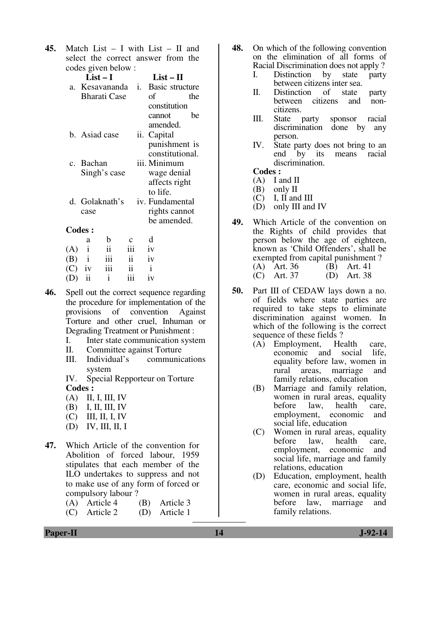**45.** Match List – I with List – II and select the correct answer from the codes given below :

|     | COUCS GIVEN DEIUW. |                         |                     |                                   |
|-----|--------------------|-------------------------|---------------------|-----------------------------------|
|     | $List-I$           |                         |                     | $List-II$                         |
|     |                    |                         |                     | a. Kesavananda i. Basic structure |
|     |                    | <b>Bharati Case</b>     |                     | of<br>the                         |
|     |                    |                         |                     | constitution                      |
|     |                    |                         |                     | be<br>cannot                      |
|     |                    |                         |                     | amended.                          |
|     | b. Asiad case      |                         |                     | ii. Capital                       |
|     |                    |                         |                     | punishment is                     |
|     |                    |                         |                     | constitutional.                   |
|     | c. Bachan          |                         |                     | iii. Minimum                      |
|     |                    | Singh's case            |                     | wage denial                       |
|     |                    |                         |                     | affects right                     |
|     |                    |                         |                     | to life.                          |
|     | d. Golaknath's     |                         |                     | iv. Fundamental                   |
|     | case               |                         |                     | rights cannot                     |
|     |                    |                         |                     | be amended.                       |
|     | <b>Codes:</b>      |                         |                     |                                   |
|     | a                  | b                       |                     | d                                 |
| (A) | $\mathbf{i}$       | $\mathbf{ii}$           | iii                 | iv                                |
| (B) | $\mathbf{i}$       | iii                     | $\ddot{\mathbf{i}}$ | iv                                |
| (C) | iv                 | $\overline{\text{iii}}$ | $\ddot{i}$          | $\mathbf{i}$                      |
|     |                    |                         |                     |                                   |

**46.** Spell out the correct sequence regarding the procedure for implementation of the provisions of convention Against Torture and other cruel, Inhuman or Degrading Treatment or Punishment :

 $(D)$  ii ii iii iv

- I. Inter state communication system
- II. Committee against Torture
- III. Individual's communications system

 IV. Special Repporteur on Torture **Codes :** 

- (A) II, I, III, IV
- (B) I, II, III, IV
- $(C)$  III, II, I, IV
- $(D)$  IV, III, II, I
- **47.** Which Article of the convention for Abolition of forced labour, 1959 stipulates that each member of the ILO undertakes to suppress and not to make use of any form of forced or compulsory labour ?
	- (A) Article 4 (B) Article 3
	- (C) Article 2 (D) Article 1
- **48.** On which of the following convention on the elimination of all forms of Racial Discrimination does not apply ?
	- I. Distinction by state party between citizens inter sea.<br>Distinction of state
	- II. Distinction of state party<br>between citizens and nonbetween citizens citizens.
	- III. State party sponsor racial discrimination done by any person.
	- IV. State party does not bring to an<br>end by its means racial means racial discrimination.

#### **Codes :**

- (A) I and II
- (B) only II
- $\overrightarrow{CC}$  I. II and III
- (D) only III and IV
- **49.** Which Article of the convention on the Rights of child provides that person below the age of eighteen, known as 'Child Offenders', shall be exempted from capital punishment ? (A) Art. 36 (B) Art. 41<br>(C) Art. 37 (D) Art. 38  $(D)$  Art. 38
- **50.** Part III of CEDAW lays down a no. of fields where state parties are required to take steps to eliminate discrimination against women. In which of the following is the correct sequence of these fields ?
	- (A) Employment, Health care,<br>economic and social life, economic and social equality before law, women in rural areas, marriage and family relations, education
	- (B) Marriage and family relation, women in rural areas, equality<br>before law, health care, before law, health care, employment, economic and social life, education
	- (C) Women in rural areas, equality before law, health care, employment, economic and social life, marriage and family relations, education
	- (D) Education, employment, health care, economic and social life, women in rural areas, equality before law, marriage and family relations.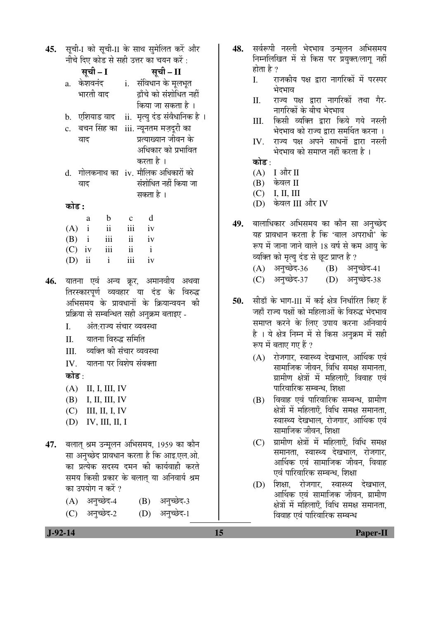| 45. | सूची-I को सूची-II के साथ सुमेलित करें और |                         |                           |                         |                                                     |  |  |  |
|-----|------------------------------------------|-------------------------|---------------------------|-------------------------|-----------------------------------------------------|--|--|--|
|     |                                          |                         |                           |                         | नीचे दिए कोड से सही उत्तर का चयन करें :             |  |  |  |
|     |                                          | सूची – I                |                           | सूची – II               |                                                     |  |  |  |
|     |                                          | a. केशवनंद              |                           |                         | i.   संविधान के मूलभूत                              |  |  |  |
|     |                                          | भारती वाद               |                           |                         | ढाँचे को संशोधित नहीं                               |  |  |  |
|     |                                          |                         |                           |                         | किया जा सकता है ।                                   |  |  |  |
|     |                                          |                         |                           |                         | b.   एशियाड वाद     ii.   मृत्यु दंड संवैधानिक है । |  |  |  |
|     |                                          | वाद                     |                           |                         | c. बचन सिंह का iii. न्यूनतम मज़दूरी का              |  |  |  |
|     |                                          |                         |                           |                         | प्रत्याख्यान जीवन के                                |  |  |  |
|     |                                          |                         |                           |                         | अधिकार को प्रभावित                                  |  |  |  |
|     |                                          |                         |                           |                         | करता है ।                                           |  |  |  |
|     |                                          |                         |                           |                         | d. गोलकनाथ का iv. मौलिक अधिकारों को                 |  |  |  |
|     |                                          | वाद                     |                           |                         | संशोधित नहीं किया जा                                |  |  |  |
|     |                                          |                         |                           |                         | सकता है ।                                           |  |  |  |
|     | कोड :                                    |                         |                           |                         |                                                     |  |  |  |
|     |                                          | a                       | $\mathbf b$               | $\mathbf c$             | d                                                   |  |  |  |
|     |                                          | $(A)$ i                 | ii                        | iii                     | iv                                                  |  |  |  |
|     |                                          | $(B)$ i                 | iii                       | $\ddot{\rm n}$          | iv                                                  |  |  |  |
|     |                                          | $(C)$ iv                | $\overline{\mathbf{iii}}$ | $\overline{\mathbf{u}}$ | $\mathbf{i}$                                        |  |  |  |
|     | (D)                                      | $\overline{\mathbf{u}}$ | $\mathbf{i}$              | iii                     | iv                                                  |  |  |  |
|     |                                          |                         |                           |                         | n                                                   |  |  |  |

**46.** यातना एवं अन्य क्रूर, अमानवीय अथवा तिरस्कारपूर्ण व्यवहार या दंड के विरुद्ध अभिसमय के प्रावधानों के क्रियान्वयन की <u>प्रक्रिया से सम्बन्धित सही अनुक्रम बताइए</u> -

- I. अंत राज्य संचार व्यवस्था
- II. यातना विरुद्ध समिति
- III. व्यक्ति की संचार व्यवस्था
- $IV$  and  $\overline{q}$  and  $\overline{q}$  and  $\overline{q}$ कोड :
- (A) II, I, III, IV
- (B) I, II, III, IV
- $(C)$  III, II, I, IV
- (D) IV, III, II, I
- 47. बलात् श्रम उन्मूलन अभिसमय, 1959 का कौन सा अनुच्छेद प्रावधान करता है कि आइ.एल.ओ. का प्रत्येक सदस्य दमन की कार्यवाही करते समय किसी प्रकार के बलात या अनिवार्य श्रम का उपयोग न करें ?
	- (A) अनुच्छेद-4 (B) अनुच्छेद-3
	- (C) अनुच्छेद-2 (D) अनुच्छेद-1
- 48. सर्वरूपी नस्ली भेदभाव उन्मलन अभिसमय निम्नलिखित में से किस पर प्रयुक्त/लाग नहीं होता है ?
	- I. राजकीय पक्ष द्रारा नागरिकों में परस्पर भेदभाव
	- II. राज्य पक्ष द्वारा नागरिकों तथा गैर-नागरिकों के बीच भेदभाव
	- III. किसी व्यक्ति द्वारा किये गये नस्ली भेदभाव को राज्य द्वारा समर्थित करना ।
	- IV. राज्य पक्ष अपने साधनों द्वारा नस्ली भेदभाव को समाप्त नहीं करता है ।

## कोड :

- $(A)$  I और II
- $(B)$  केवल II
- (C) I, II, III
- (D) केवल III और IV
- 49. बालाधिकार अभिसमय का कौन सा अनुच्छेद यह प्रावधान करता है कि 'बाल अपराधी' के रूप में जाना जाने वाले 18 वर्ष से कम आयु के व्यक्ति को मृत्यु दंड से छूट प्राप्त है ? (A) अनुच्छेद-36 (B) अनुच्छेद-41
	- (C) अनुच्छेद-37 (D) अनुच्छेद-38
- **50.** सीडॉ के भाग-III में कई क्षेत्र निर्धारित किए हैं जहाँ राज्य पक्षों को महिलाओं के विरुद्ध भेदभाव समाप्त करने के लिए उपाय करना अनिवार्य है । ये क्षेत्र निम्न में से किस अनुक्रम में सही रूप में बताए गए हैं ?
	- (A) रोजगार, स्वास्थ्य देखभाल, आर्थिक एवं सामाजिक जीवन. विधि समक्ष समानता. <u>ग्रामीण क्षेत्रों में महिलाएँ, विवाह एवं</u> पारिवारिक सम्बन्ध. शिक्षा
	- $(B)$  विवाह एवं पारिवारिक सम्बन्ध, ग्रामीण क्षेत्रों में महिलाएँ, विधि समक्ष समानता, स्वास्थ्य देखभाल. रोजगार. आर्थिक एवं सामाजिक जीवन. शिक्षा
	- (C) ग्रामीण क्षेत्रों में महिलाएँ, विधि समक्ष समानता. स्वास्थ्य देखभाल. रोजगार. आर्थिक एवं सामाजिक जीवन. विवाह एवं पारिवारिक सम्बन्ध. शिक्षा
	- (D) शिक्षा, रोजगार, स्वास्थ्य देखभाल, आर्थिक एवं सामाजिक जीवन, ग्रामीण क्षेत्रों में महिलाएँ. विधि समक्ष समानता. विवाह एवं पारिवारिक सम्बन्ध